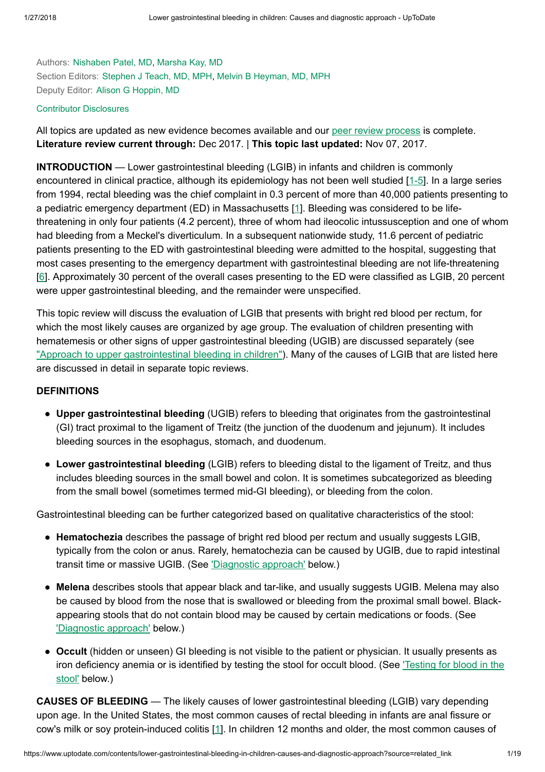Authors: [Nishaben](https://www.uptodate.com/contents/lower-gastrointestinal-bleeding-in-children-causes-and-diagnostic-approach/contributors) Patel, MD, [Marsha](https://www.uptodate.com/contents/lower-gastrointestinal-bleeding-in-children-causes-and-diagnostic-approach/contributors) Kay, MD Section Editors: [Stephen](https://www.uptodate.com/contents/lower-gastrointestinal-bleeding-in-children-causes-and-diagnostic-approach/contributors) J Teach, MD, MPH, Melvin B [Heyman,](https://www.uptodate.com/contents/lower-gastrointestinal-bleeding-in-children-causes-and-diagnostic-approach/contributors) MD, MPH Deputy Editor: Alison G [Hoppin,](https://www.uptodate.com/contents/lower-gastrointestinal-bleeding-in-children-causes-and-diagnostic-approach/contributors) MD

## Contributor [Disclosures](https://www.uptodate.com/contents/lower-gastrointestinal-bleeding-in-children-causes-and-diagnostic-approach/contributor-disclosure)

All topics are updated as new evidence becomes available and our peer review [process](https://www.uptodate.com/home/editorial-policy) is complete. Literature review current through: Dec 2017. | This topic last updated: Nov 07, 2017.

INTRODUCTION — Lower gastrointestinal bleeding (LGIB) in infants and children is commonly encountered in clinical practice, although its epidemiology has not been well studied [\[1-5](https://www.uptodate.com/contents/lower-gastrointestinal-bleeding-in-children-causes-and-diagnostic-approach/abstract/1-5)]. In a large series from 1994, rectal bleeding was the chief complaint in 0.3 percent of more than 40,000 patients presenting to a pediatric emergency department (ED) in Massachusetts [[1\]](https://www.uptodate.com/contents/lower-gastrointestinal-bleeding-in-children-causes-and-diagnostic-approach/abstract/1). Bleeding was considered to be lifethreatening in only four patients (4.2 percent), three of whom had ileocolic intussusception and one of whom had bleeding from a Meckel's diverticulum. In a subsequent nationwide study, 11.6 percent of pediatric patients presenting to the ED with gastrointestinal bleeding were admitted to the hospital, suggesting that most cases presenting to the emergency department with gastrointestinal bleeding are not life-threatening [[6\]](https://www.uptodate.com/contents/lower-gastrointestinal-bleeding-in-children-causes-and-diagnostic-approach/abstract/6). Approximately 30 percent of the overall cases presenting to the ED were classified as LGIB, 20 percent were upper gastrointestinal bleeding, and the remainder were unspecified.

This topic review will discuss the evaluation of LGIB that presents with bright red blood per rectum, for which the most likely causes are organized by age group. The evaluation of children presenting with hematemesis or other signs of upper gastrointestinal bleeding (UGIB) are discussed separately (see "Approach to upper [gastrointestinal bleeding](https://www.uptodate.com/contents/approach-to-upper-gastrointestinal-bleeding-in-children?source=see_link) in children"). Many of the causes of LGIB that are listed here are discussed in detail in separate topic reviews.

## DEFINITIONS

- Upper gastrointestinal bleeding (UGIB) refers to bleeding that originates from the gastrointestinal (GI) tract proximal to the ligament of Treitz (the junction of the duodenum and jejunum). It includes bleeding sources in the esophagus, stomach, and duodenum.
- Lower gastrointestinal bleeding (LGIB) refers to bleeding distal to the ligament of Treitz, and thus includes bleeding sources in the small bowel and colon. It is sometimes subcategorized as bleeding from the small bowel (sometimes termed mid-GI bleeding), or bleeding from the colon.

Gastrointestinal bleeding can be further categorized based on qualitative characteristics of the stool:

- Hematochezia describes the passage of bright red blood per rectum and usually suggests LGIB, typically from the colon or anus. Rarely, hematochezia can be caused by UGIB, due to rapid intestinal transit time or massive UGIB. (See ['Diagnostic](https://www.uptodate.com/contents/lower-gastrointestinal-bleeding-in-children-causes-and-diagnostic-approach?source=related_link#H631790574) approach' below.)
- Melena describes stools that appear black and tar-like, and usually suggests UGIB. Melena may also be caused by blood from the nose that is swallowed or bleeding from the proximal small bowel. Blackappearing stools that do not contain blood may be caused by certain medications or foods. (See ['Diagnostic](https://www.uptodate.com/contents/lower-gastrointestinal-bleeding-in-children-causes-and-diagnostic-approach?source=related_link#H631790574) approach' below.)
- Occult (hidden or unseen) GI bleeding is not visible to the patient or physician. It usually presents as iron [deficiency](https://www.uptodate.com/contents/lower-gastrointestinal-bleeding-in-children-causes-and-diagnostic-approach?source=related_link#H631791217) anemia or is identified by testing the stool for occult blood. (See 'Testing for blood in the stool' below.)

CAUSES OF BLEEDING — The likely causes of lower gastrointestinal bleeding (LGIB) vary depending upon age. In the United States, the most common causes of rectal bleeding in infants are anal fissure or cow's milk or soy protein-induced colitis [[1\]](https://www.uptodate.com/contents/lower-gastrointestinal-bleeding-in-children-causes-and-diagnostic-approach/abstract/1). In children 12 months and older, the most common causes of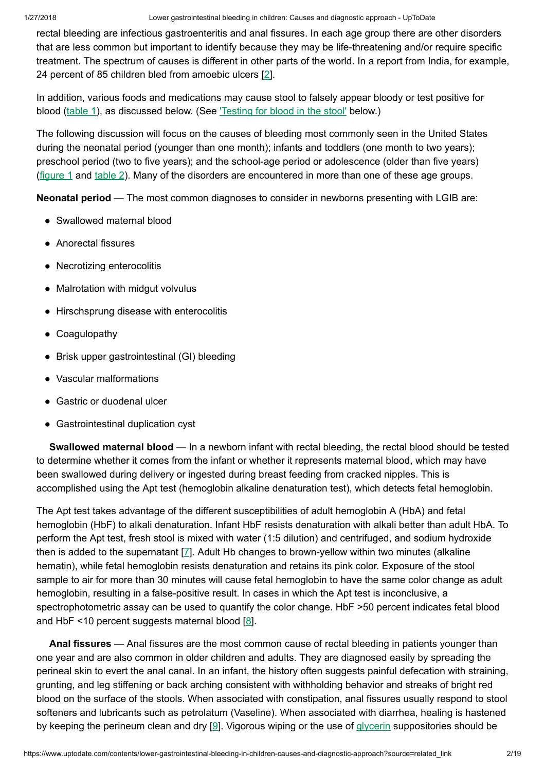rectal bleeding are infectious gastroenteritis and anal fissures. In each age group there are other disorders that are less common but important to identify because they may be life-threatening and/or require specific treatment. The spectrum of causes is different in other parts of the world. In a report from India, for example, 24 percent of 85 children bled from amoebic ulcers [[2\]](https://www.uptodate.com/contents/lower-gastrointestinal-bleeding-in-children-causes-and-diagnostic-approach/abstract/2).

In addition, various foods and medications may cause stool to falsely appear bloody or test positive for blood ([table](https://www.uptodate.com/contents/image?imageKey=PEDS%2F72978&topicKey=PEDS%2F5904&source=see_link) 1), as discussed below. (See ['Testing](https://www.uptodate.com/contents/lower-gastrointestinal-bleeding-in-children-causes-and-diagnostic-approach?source=related_link#H631791217) for blood in the stool' below.)

The following discussion will focus on the causes of bleeding most commonly seen in the United States during the neonatal period (younger than one month); infants and toddlers (one month to two years); preschool period (two to five years); and the school-age period or adolescence (older than five years) [\(figure](https://www.uptodate.com/contents/image?imageKey=PEDS%2F58363&topicKey=PEDS%2F5904&source=see_link)  $1$  and  $table 2$  $table 2$ ). Many of the disorders are encountered in more than one of these age groups.

Neonatal period — The most common diagnoses to consider in newborns presenting with LGIB are:

- Swallowed maternal blood
- Anorectal fissures
- Necrotizing enterocolitis
- Malrotation with midgut volvulus
- Hirschsprung disease with enterocolitis
- Coagulopathy
- Brisk upper gastrointestinal (GI) bleeding
- Vascular malformations
- Gastric or duodenal ulcer
- Gastrointestinal duplication cyst

Swallowed maternal blood — In a newborn infant with rectal bleeding, the rectal blood should be tested to determine whether it comes from the infant or whether it represents maternal blood, which may have been swallowed during delivery or ingested during breast feeding from cracked nipples. This is accomplished using the Apt test (hemoglobin alkaline denaturation test), which detects fetal hemoglobin.

The Apt test takes advantage of the different susceptibilities of adult hemoglobin A (HbA) and fetal hemoglobin (HbF) to alkali denaturation. Infant HbF resists denaturation with alkali better than adult HbA. To perform the Apt test, fresh stool is mixed with water (1:5 dilution) and centrifuged, and sodium hydroxide then is added to the supernatant [[7\]](https://www.uptodate.com/contents/lower-gastrointestinal-bleeding-in-children-causes-and-diagnostic-approach/abstract/7). Adult Hb changes to brown-yellow within two minutes (alkaline hematin), while fetal hemoglobin resists denaturation and retains its pink color. Exposure of the stool sample to air for more than 30 minutes will cause fetal hemoglobin to have the same color change as adult hemoglobin, resulting in a false-positive result. In cases in which the Apt test is inconclusive, a spectrophotometric assay can be used to quantify the color change. HbF >50 percent indicates fetal blood and HbF <10 percent suggests maternal blood  $[8]$  $[8]$ .

Anal fissures — Anal fissures are the most common cause of rectal bleeding in patients younger than one year and are also common in older children and adults. They are diagnosed easily by spreading the perineal skin to evert the anal canal. In an infant, the history often suggests painful defecation with straining, grunting, and leg stiffening or back arching consistent with withholding behavior and streaks of bright red blood on the surface of the stools. When associated with constipation, anal fissures usually respond to stool softeners and lubricants such as petrolatum (Vaseline). When associated with diarrhea, healing is hastened by keeping the perineum clean and dry  $[9]$  $[9]$ . Vigorous wiping or the use of [glycerin](https://www.uptodate.com/contents/glycerin-pediatric-drug-information?source=see_link) suppositories should be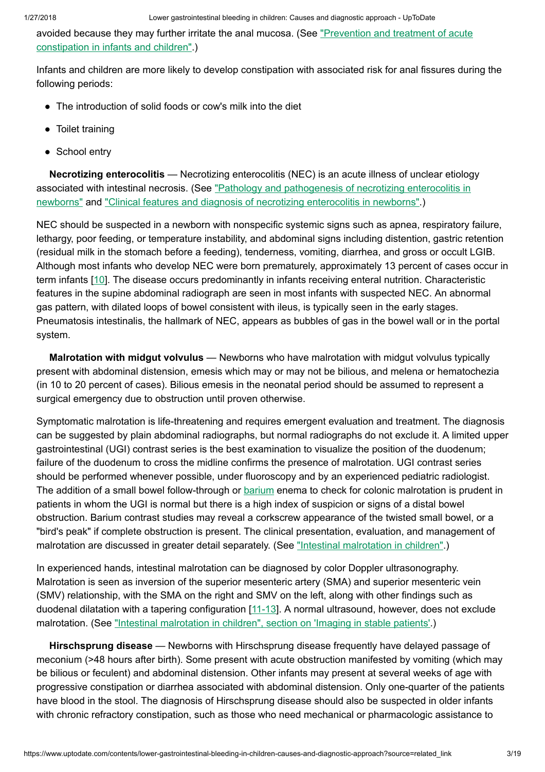avoided because they may further irritate the [anal mucosa.](https://www.uptodate.com/contents/prevention-and-treatment-of-acute-constipation-in-infants-and-children?source=see_link) (See "Prevention and treatment of acute constipation in infants and children".)

Infants and children are more likely to develop constipation with associated risk for anal fissures during the following periods:

- The introduction of solid foods or cow's milk into the diet
- Toilet training
- School entry

Necrotizing enterocolitis — Necrotizing enterocolitis (NEC) is an acute illness of unclear etiology associated with [intestinal necrosis.](https://www.uptodate.com/contents/pathology-and-pathogenesis-of-necrotizing-enterocolitis-in-newborns?source=see_link) (See "Pathology and pathogenesis of necrotizing enterocolitis in newborns" and ["Clinical features](https://www.uptodate.com/contents/clinical-features-and-diagnosis-of-necrotizing-enterocolitis-in-newborns?source=see_link) and diagnosis of necrotizing enterocolitis in newborns".)

NEC should be suspected in a newborn with nonspecific systemic signs such as apnea, respiratory failure, lethargy, poor feeding, or temperature instability, and abdominal signs including distention, gastric retention (residual milk in the stomach before a feeding), tenderness, vomiting, diarrhea, and gross or occult LGIB. Although most infants who develop NEC were born prematurely, approximately 13 percent of cases occur in term infants [[10\]](https://www.uptodate.com/contents/lower-gastrointestinal-bleeding-in-children-causes-and-diagnostic-approach/abstract/10). The disease occurs predominantly in infants receiving enteral nutrition. Characteristic features in the supine abdominal radiograph are seen in most infants with suspected NEC. An abnormal gas pattern, with dilated loops of bowel consistent with ileus, is typically seen in the early stages. Pneumatosis intestinalis, the hallmark of NEC, appears as bubbles of gas in the bowel wall or in the portal system.

Malrotation with midgut volvulus — Newborns who have malrotation with midgut volvulus typically present with abdominal distension, emesis which may or may not be bilious, and melena or hematochezia (in 10 to 20 percent of cases). Bilious emesis in the neonatal period should be assumed to represent a surgical emergency due to obstruction until proven otherwise.

Symptomatic malrotation is life-threatening and requires emergent evaluation and treatment. The diagnosis can be suggested by plain abdominal radiographs, but normal radiographs do not exclude it. A limited upper gastrointestinal (UGI) contrast series is the best examination to visualize the position of the duodenum; failure of the duodenum to cross the midline confirms the presence of malrotation. UGI contrast series should be performed whenever possible, under fluoroscopy and by an experienced pediatric radiologist. The addition of a small bowel follow-through or [barium](https://www.uptodate.com/contents/barium-drug-information?source=see_link) enema to check for colonic malrotation is prudent in patients in whom the UGI is normal but there is a high index of suspicion or signs of a distal bowel obstruction. Barium contrast studies may reveal a corkscrew appearance of the twisted small bowel, or a "bird's peak" if complete obstruction is present. The clinical presentation, evaluation, and management of malrotation are discussed in greater detail separately. (See ["Intestinal malrotation](https://www.uptodate.com/contents/intestinal-malrotation-in-children?source=see_link) in children".)

In experienced hands, intestinal malrotation can be diagnosed by color Doppler ultrasonography. Malrotation is seen as inversion of the superior mesenteric artery (SMA) and superior mesenteric vein (SMV) relationship, with the SMA on the right and SMV on the left, along with other findings such as duodenal dilatation with a tapering configuration [\[11-13](https://www.uptodate.com/contents/lower-gastrointestinal-bleeding-in-children-causes-and-diagnostic-approach/abstract/11-13)]. A normal ultrasound, however, does not exclude malrotation. (See ["Intestinal malrotation](https://www.uptodate.com/contents/intestinal-malrotation-in-children?sectionName=Imaging+in+stable+patients&anchor=H3370939552&source=see_link#H3370939552) in children", section on 'Imaging in stable patients'.)

Hirschsprung disease — Newborns with Hirschsprung disease frequently have delayed passage of meconium (>48 hours after birth). Some present with acute obstruction manifested by vomiting (which may be bilious or feculent) and abdominal distension. Other infants may present at several weeks of age with progressive constipation or diarrhea associated with abdominal distension. Only one-quarter of the patients have blood in the stool. The diagnosis of Hirschsprung disease should also be suspected in older infants with chronic refractory constipation, such as those who need mechanical or pharmacologic assistance to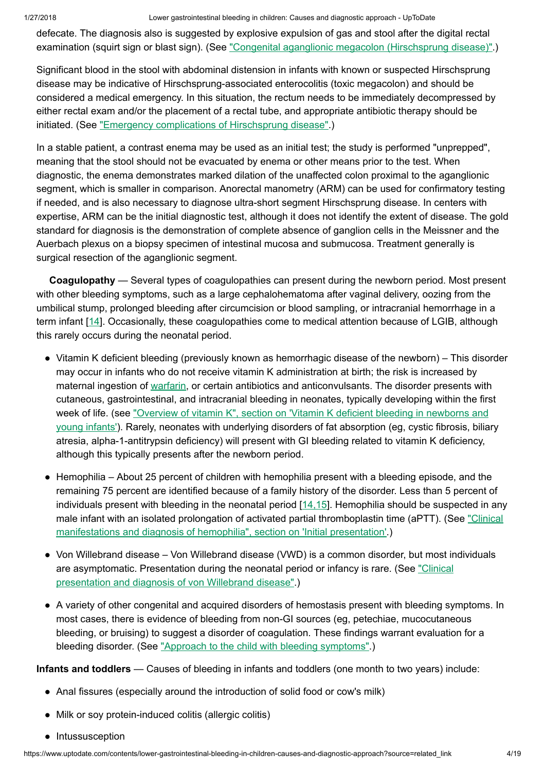defecate. The diagnosis also is suggested by explosive expulsion of gas and stool after the digital rectal examination (squirt sign or blast sign). (See ["Congenital aganglionic](https://www.uptodate.com/contents/congenital-aganglionic-megacolon-hirschsprung-disease?source=see_link) megacolon (Hirschsprung disease)".)

Significant blood in the stool with abdominal distension in infants with known or suspected Hirschsprung disease may be indicative of Hirschsprung-associated enterocolitis (toxic megacolon) and should be considered a medical emergency. In this situation, the rectum needs to be immediately decompressed by either rectal exam and/or the placement of a rectal tube, and appropriate antibiotic therapy should be initiated. (See "Emergency [complications](https://www.uptodate.com/contents/emergency-complications-of-hirschsprung-disease?source=see_link) of Hirschsprung disease".)

In a stable patient, a contrast enema may be used as an initial test; the study is performed "unprepped", meaning that the stool should not be evacuated by enema or other means prior to the test. When diagnostic, the enema demonstrates marked dilation of the unaffected colon proximal to the aganglionic segment, which is smaller in comparison. Anorectal manometry (ARM) can be used for confirmatory testing if needed, and is also necessary to diagnose ultra-short segment Hirschsprung disease. In centers with expertise, ARM can be the initial diagnostic test, although it does not identify the extent of disease. The gold standard for diagnosis is the demonstration of complete absence of ganglion cells in the Meissner and the Auerbach plexus on a biopsy specimen of intestinal mucosa and submucosa. Treatment generally is surgical resection of the aganglionic segment.

Coagulopathy — Several types of coagulopathies can present during the newborn period. Most present with other bleeding symptoms, such as a large cephalohematoma after vaginal delivery, oozing from the umbilical stump, prolonged bleeding after circumcision or blood sampling, or intracranial hemorrhage in a term infant [[14\]](https://www.uptodate.com/contents/lower-gastrointestinal-bleeding-in-children-causes-and-diagnostic-approach/abstract/14). Occasionally, these coagulopathies come to medical attention because of LGIB, although this rarely occurs during the neonatal period.

- Vitamin K deficient bleeding (previously known as hemorrhagic disease of the newborn) This disorder may occur in infants who do not receive vitamin K administration at birth; the risk is increased by maternal ingestion of [warfarin](https://www.uptodate.com/contents/warfarin-pediatric-drug-information?source=see_link), or certain antibiotics and anticonvulsants. The disorder presents with cutaneous, gastrointestinal, and intracranial bleeding in neonates, typically developing within the first week of life. (see "Overview of vitamin K", section on 'Vitamin K deficient bleeding in newborns and young infants'). Rarely, neonates with underlying disorders of fat [absorption](https://www.uptodate.com/contents/overview-of-vitamin-k?sectionName=Vitamin+K+deficient+bleeding+in+newborns+and+young+infants&anchor=H13&source=see_link#H13) (eg, cystic fibrosis, biliary atresia, alpha-1-antitrypsin deficiency) will present with GI bleeding related to vitamin K deficiency, although this typically presents after the newborn period.
- Hemophilia About 25 percent of children with hemophilia present with a bleeding episode, and the remaining 75 percent are identified because of a family history of the disorder. Less than 5 percent of individuals present with bleeding in the neonatal period  $[14,15]$  $[14,15]$ . Hemophilia should be suspected in any male infant with an isolated prolongation of activated [partial thromboplastin](https://www.uptodate.com/contents/clinical-manifestations-and-diagnosis-of-hemophilia?sectionName=Initial+presentation&anchor=H3&source=see_link#H3) time (aPTT). (See "Clinical manifestations and diagnosis of hemophilia", section on 'Initial presentation'.)
- Von Willebrand disease Von Willebrand disease (VWD) is a common disorder, but most individuals are asymptomatic. Presentation during the [neonatal period](https://www.uptodate.com/contents/clinical-presentation-and-diagnosis-of-von-willebrand-disease?source=see_link) or infancy is rare. (See "Clinical presentation and diagnosis of von Willebrand disease".)
- A variety of other congenital and acquired disorders of hemostasis present with bleeding symptoms. In most cases, there is evidence of bleeding from non-GI sources (eg, petechiae, mucocutaneous bleeding, or bruising) to suggest a disorder of coagulation. These findings warrant evaluation for a bleeding disorder. (See "Approach to the child with bleeding [symptoms"](https://www.uptodate.com/contents/approach-to-the-child-with-bleeding-symptoms?source=see_link).)

Infants and toddlers — Causes of bleeding in infants and toddlers (one month to two years) include:

- Anal fissures (especially around the introduction of solid food or cow's milk)
- Milk or soy protein-induced colitis (allergic colitis)
- Intussusception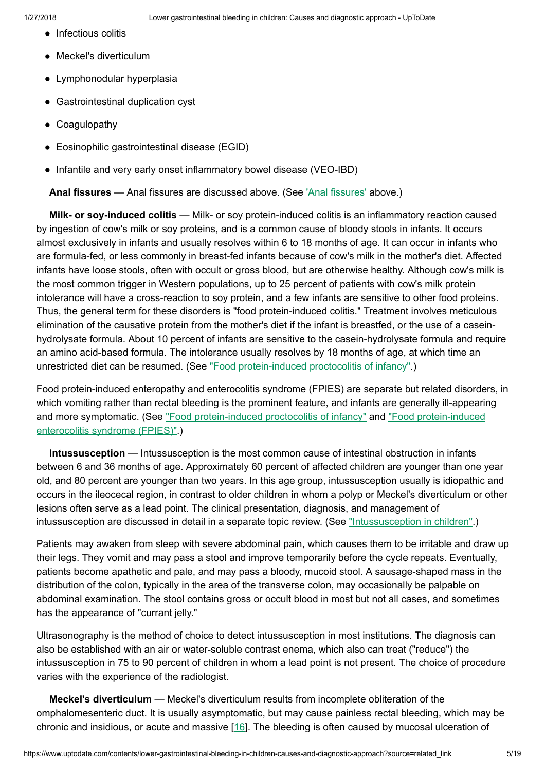- Infectious colitis
- Meckel's diverticulum
- Lymphonodular hyperplasia
- Gastrointestinal duplication cyst
- Coagulopathy
- Eosinophilic gastrointestinal disease (EGID)
- Infantile and very early onset inflammatory bowel disease (VEO-IBD)

Anal fissures - Anal fissures are discussed above. (See ['Anal fissures'](https://www.uptodate.com/contents/lower-gastrointestinal-bleeding-in-children-causes-and-diagnostic-approach?source=related_link#H10) above.)

Milk- or soy-induced colitis — Milk- or soy protein-induced colitis is an inflammatory reaction caused by ingestion of cow's milk or soy proteins, and is a common cause of bloody stools in infants. It occurs almost exclusively in infants and usually resolves within 6 to 18 months of age. It can occur in infants who are formula-fed, or less commonly in breast-fed infants because of cow's milk in the mother's diet. Affected infants have loose stools, often with occult or gross blood, but are otherwise healthy. Although cow's milk is the most common trigger in Western populations, up to 25 percent of patients with cow's milk protein intolerance will have a cross-reaction to soy protein, and a few infants are sensitive to other food proteins. Thus, the general term for these disorders is "food protein-induced colitis." Treatment involves meticulous elimination of the causative protein from the mother's diet if the infant is breastfed, or the use of a caseinhydrolysate formula. About 10 percent of infants are sensitive to the casein-hydrolysate formula and require an amino acid-based formula. The intolerance usually resolves by 18 months of age, at which time an unrestricted diet can be resumed. (See "Food [protein-induced](https://www.uptodate.com/contents/food-protein-induced-proctocolitis-of-infancy?source=see_link) proctocolitis of infancy".)

Food protein-induced enteropathy and enterocolitis syndrome (FPIES) are separate but related disorders, in which vomiting rather than rectal bleeding is the prominent feature, and infants are generally ill-appearing and more symptomatic. (See "Food [protein-induced](https://www.uptodate.com/contents/food-protein-induced-enterocolitis-syndrome-fpies?source=see_link) proctocolitis of infancy" and "Food protein-induced enterocolitis syndrome (FPIES)".)

Intussusception — Intussusception is the most common cause of intestinal obstruction in infants between 6 and 36 months of age. Approximately 60 percent of affected children are younger than one year old, and 80 percent are younger than two years. In this age group, intussusception usually is idiopathic and occurs in the ileocecal region, in contrast to older children in whom a polyp or Meckel's diverticulum or other lesions often serve as a lead point. The clinical presentation, diagnosis, and management of intussusception are discussed in detail in a separate topic review. (See ["Intussusception](https://www.uptodate.com/contents/intussusception-in-children?source=see_link) in children".)

Patients may awaken from sleep with severe abdominal pain, which causes them to be irritable and draw up their legs. They vomit and may pass a stool and improve temporarily before the cycle repeats. Eventually, patients become apathetic and pale, and may pass a bloody, mucoid stool. A sausage-shaped mass in the distribution of the colon, typically in the area of the transverse colon, may occasionally be palpable on abdominal examination. The stool contains gross or occult blood in most but not all cases, and sometimes has the appearance of "currant jelly."

Ultrasonography is the method of choice to detect intussusception in most institutions. The diagnosis can also be established with an air or water-soluble contrast enema, which also can treat ("reduce") the intussusception in 75 to 90 percent of children in whom a lead point is not present. The choice of procedure varies with the experience of the radiologist.

Meckel's diverticulum — Meckel's diverticulum results from incomplete obliteration of the omphalomesenteric duct. It is usually asymptomatic, but may cause painless rectal bleeding, which may be chronic and insidious, or acute and massive [[16\]](https://www.uptodate.com/contents/lower-gastrointestinal-bleeding-in-children-causes-and-diagnostic-approach/abstract/16). The bleeding is often caused by mucosal ulceration of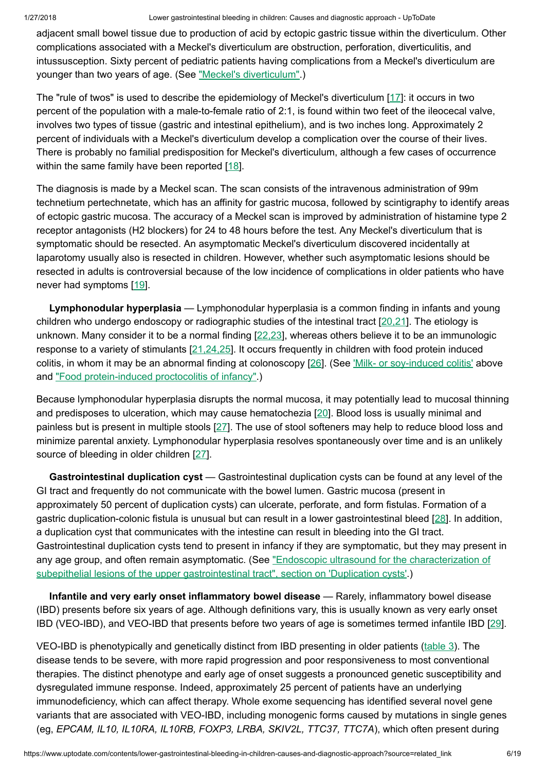adjacent small bowel tissue due to production of acid by ectopic gastric tissue within the diverticulum. Other complications associated with a Meckel's diverticulum are obstruction, perforation, diverticulitis, and intussusception. Sixty percent of pediatric patients having complications from a Meckel's diverticulum are younger than two years of age. (See "Meckel's [diverticulum".](https://www.uptodate.com/contents/meckels-diverticulum?source=see_link))

The "rule of twos" is used to describe the epidemiology of Meckel's diverticulum [\[17](https://www.uptodate.com/contents/lower-gastrointestinal-bleeding-in-children-causes-and-diagnostic-approach/abstract/17)]: it occurs in two percent of the population with a male-to-female ratio of 2:1, is found within two feet of the ileocecal valve, involves two types of tissue (gastric and intestinal epithelium), and is two inches long. Approximately 2 percent of individuals with a Meckel's diverticulum develop a complication over the course of their lives. There is probably no familial predisposition for Meckel's diverticulum, although a few cases of occurrence within the same family have been reported [[18\]](https://www.uptodate.com/contents/lower-gastrointestinal-bleeding-in-children-causes-and-diagnostic-approach/abstract/18).

The diagnosis is made by a Meckel scan. The scan consists of the intravenous administration of 99m technetium pertechnetate, which has an affinity for gastric mucosa, followed by scintigraphy to identify areas of ectopic gastric mucosa. The accuracy of a Meckel scan is improved by administration of histamine type 2 receptor antagonists (H2 blockers) for 24 to 48 hours before the test. Any Meckel's diverticulum that is symptomatic should be resected. An asymptomatic Meckel's diverticulum discovered incidentally at laparotomy usually also is resected in children. However, whether such asymptomatic lesions should be resected in adults is controversial because of the low incidence of complications in older patients who have never had symptoms [\[19](https://www.uptodate.com/contents/lower-gastrointestinal-bleeding-in-children-causes-and-diagnostic-approach/abstract/19)].

Lymphonodular hyperplasia — Lymphonodular hyperplasia is a common finding in infants and young children who undergo endoscopy or radiographic studies of the intestinal tract [\[20,21](https://www.uptodate.com/contents/lower-gastrointestinal-bleeding-in-children-causes-and-diagnostic-approach/abstract/20,21)]. The etiology is unknown. Many consider it to be a normal finding  $[22,23]$  $[22,23]$ , whereas others believe it to be an immunologic response to a variety of stimulants [[21,24,25\]](https://www.uptodate.com/contents/lower-gastrointestinal-bleeding-in-children-causes-and-diagnostic-approach/abstract/21,24,25). It occurs frequently in children with food protein induced colitis, in whom it may be an abnormal finding at colonoscopy [[26\]](https://www.uptodate.com/contents/lower-gastrointestinal-bleeding-in-children-causes-and-diagnostic-approach/abstract/26). (See 'Milk- or [soy-induced](https://www.uptodate.com/contents/lower-gastrointestinal-bleeding-in-children-causes-and-diagnostic-approach?source=related_link#H17) colitis' above and "Food [protein-induced](https://www.uptodate.com/contents/food-protein-induced-proctocolitis-of-infancy?source=see_link) proctocolitis of infancy".)

Because lymphonodular hyperplasia disrupts the normal mucosa, it may potentially lead to mucosal thinning and predisposes to ulceration, which may cause hematochezia [\[20](https://www.uptodate.com/contents/lower-gastrointestinal-bleeding-in-children-causes-and-diagnostic-approach/abstract/20)]. Blood loss is usually minimal and painless but is present in multiple stools [\[27](https://www.uptodate.com/contents/lower-gastrointestinal-bleeding-in-children-causes-and-diagnostic-approach/abstract/27)]. The use of stool softeners may help to reduce blood loss and minimize parental anxiety. Lymphonodular hyperplasia resolves spontaneously over time and is an unlikely source of bleeding in older children [[27\]](https://www.uptodate.com/contents/lower-gastrointestinal-bleeding-in-children-causes-and-diagnostic-approach/abstract/27).

Gastrointestinal duplication cyst — Gastrointestinal duplication cysts can be found at any level of the GI tract and frequently do not communicate with the bowel lumen. Gastric mucosa (present in approximately 50 percent of duplication cysts) can ulcerate, perforate, and form fistulas. Formation of a gastric duplication-colonic fistula is unusual but can result in a lower gastrointestinal bleed [[28\]](https://www.uptodate.com/contents/lower-gastrointestinal-bleeding-in-children-causes-and-diagnostic-approach/abstract/28). In addition, a duplication cyst that communicates with the intestine can result in bleeding into the GI tract. Gastrointestinal duplication cysts tend to present in infancy if they are symptomatic, but they may present in any age group, and often remain asymptomatic. (See "Endoscopic ultrasound for the characterization of subepithelial lesions of the upper [gastrointestinal tract",](https://www.uptodate.com/contents/endoscopic-ultrasound-for-the-characterization-of-subepithelial-lesions-of-the-upper-gastrointestinal-tract?sectionName=DUPLICATION+CYSTS&anchor=H30&source=see_link#H30) section on 'Duplication cysts'.)

Infantile and very early onset inflammatory bowel disease — Rarely, inflammatory bowel disease (IBD) presents before six years of age. Although definitions vary, this is usually known as very early onset IBD (VEO-IBD), and VEO-IBD that presents before two years of age is sometimes termed infantile IBD [\[29](https://www.uptodate.com/contents/lower-gastrointestinal-bleeding-in-children-causes-and-diagnostic-approach/abstract/29)].

VEO-IBD is phenotypically and genetically distinct from IBD presenting in older patients [\(table](https://www.uptodate.com/contents/image?imageKey=GAST%2F99327&topicKey=PEDS%2F5904&source=see_link) 3). The disease tends to be severe, with more rapid progression and poor responsiveness to most conventional therapies. The distinct phenotype and early age of onset suggests a pronounced genetic susceptibility and dysregulated immune response. Indeed, approximately 25 percent of patients have an underlying immunodeficiency, which can affect therapy. Whole exome sequencing has identified several novel gene variants that are associated with VEO-IBD, including monogenic forms caused by mutations in single genes (eg, EPCAM, IL10, IL10RA, IL10RB, FOXP3, LRBA, SKIV2L, TTC37, TTC7A), which often present during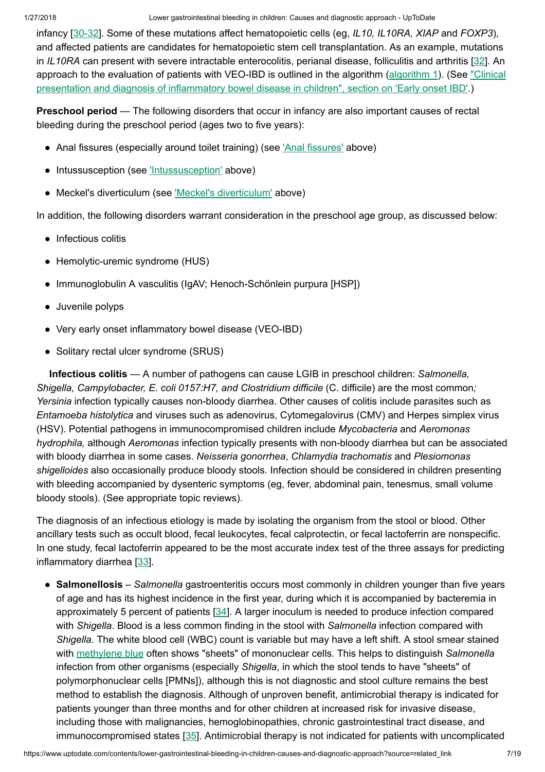1/27/2018 Lower gastrointestinal bleeding in children: Causes and diagnostic approach - UpToDate

infancy  $[30-32]$ . Some of these mutations affect hematopoietic cells (eg, IL10, IL10RA, XIAP and FOXP3), and affected patients are candidates for hematopoietic stem cell transplantation. As an example, mutations in IL10RA can present with severe intractable enterocolitis, perianal disease, folliculitis and arthritis [\[32](https://www.uptodate.com/contents/lower-gastrointestinal-bleeding-in-children-causes-and-diagnostic-approach/abstract/32)]. An approach to the evaluation of patients with VEO-IBD is outlined in the algorithm [\(algorithm](https://www.uptodate.com/contents/image?imageKey=GAST%2F99328&topicKey=PEDS%2F5904&source=see_link) 1). (See "Clinical presentation and diagnosis of inflammatory [bowel disease](https://www.uptodate.com/contents/clinical-presentation-and-diagnosis-of-inflammatory-bowel-disease-in-children?sectionName=Early+onset+IBD&anchor=H216504648&source=see_link#H216504648) in children", section on 'Early onset IBD'.)

Preschool period — The following disorders that occur in infancy are also important causes of rectal bleeding during the preschool period (ages two to five years):

- Anal fissures (especially around toilet training) (see ['Anal fissures'](https://www.uptodate.com/contents/lower-gastrointestinal-bleeding-in-children-causes-and-diagnostic-approach?source=related_link#H10) above)
- Intussusception (see ['Intussusception'](https://www.uptodate.com/contents/lower-gastrointestinal-bleeding-in-children-causes-and-diagnostic-approach?source=related_link#H18) above)
- Meckel's diverticulum (see 'Meckel's [diverticulum'](https://www.uptodate.com/contents/lower-gastrointestinal-bleeding-in-children-causes-and-diagnostic-approach?source=related_link#H19) above)

In addition, the following disorders warrant consideration in the preschool age group, as discussed below:

- Infectious colitis
- Hemolytic-uremic syndrome (HUS)
- Immunoglobulin A vasculitis (IgAV; Henoch-Schönlein purpura [HSP])
- Juvenile polyps
- Very early onset inflammatory bowel disease (VEO-IBD)
- Solitary rectal ulcer syndrome (SRUS)

Infectious colitis — A number of pathogens can cause LGIB in preschool children: Salmonella, Shigella, Campylobacter, E. coli 0157:H7, and Clostridium difficile (C. difficile) are the most common; Yersinia infection typically causes non-bloody diarrhea. Other causes of colitis include parasites such as Entamoeba histolytica and viruses such as adenovirus, Cytomegalovirus (CMV) and Herpes simplex virus (HSV). Potential pathogens in immunocompromised children include Mycobacteria and Aeromonas hydrophila, although Aeromonas infection typically presents with non-bloody diarrhea but can be associated with bloody diarrhea in some cases. Neisseria gonorrhea, Chlamydia trachomatis and Plesiomonas shigelloides also occasionally produce bloody stools. Infection should be considered in children presenting with bleeding accompanied by dysenteric symptoms (eg, fever, abdominal pain, tenesmus, small volume bloody stools). (See appropriate topic reviews).

The diagnosis of an infectious etiology is made by isolating the organism from the stool or blood. Other ancillary tests such as occult blood, fecal leukocytes, fecal calprotectin, or fecal lactoferrin are nonspecific. In one study, fecal lactoferrin appeared to be the most accurate index test of the three assays for predicting inflammatory diarrhea [[33\]](https://www.uptodate.com/contents/lower-gastrointestinal-bleeding-in-children-causes-and-diagnostic-approach/abstract/33).

• Salmonellosis - Salmonella gastroenteritis occurs most commonly in children younger than five years of age and has its highest incidence in the first year, during which it is accompanied by bacteremia in approximately 5 percent of patients [\[34](https://www.uptodate.com/contents/lower-gastrointestinal-bleeding-in-children-causes-and-diagnostic-approach/abstract/34)]. A larger inoculum is needed to produce infection compared with Shigella. Blood is a less common finding in the stool with Salmonella infection compared with Shigella. The white blood cell (WBC) count is variable but may have a left shift. A stool smear stained with [methylene](https://www.uptodate.com/contents/methylene-blue-pediatric-drug-information?source=see_link) blue often shows "sheets" of mononuclear cells. This helps to distinguish Salmonella infection from other organisms (especially Shigella, in which the stool tends to have "sheets" of polymorphonuclear cells [PMNs]), although this is not diagnostic and stool culture remains the best method to establish the diagnosis. Although of unproven benefit, antimicrobial therapy is indicated for patients younger than three months and for other children at increased risk for invasive disease, including those with malignancies, hemoglobinopathies, chronic gastrointestinal tract disease, and immunocompromised states [\[35](https://www.uptodate.com/contents/lower-gastrointestinal-bleeding-in-children-causes-and-diagnostic-approach/abstract/35)]. Antimicrobial therapy is not indicated for patients with uncomplicated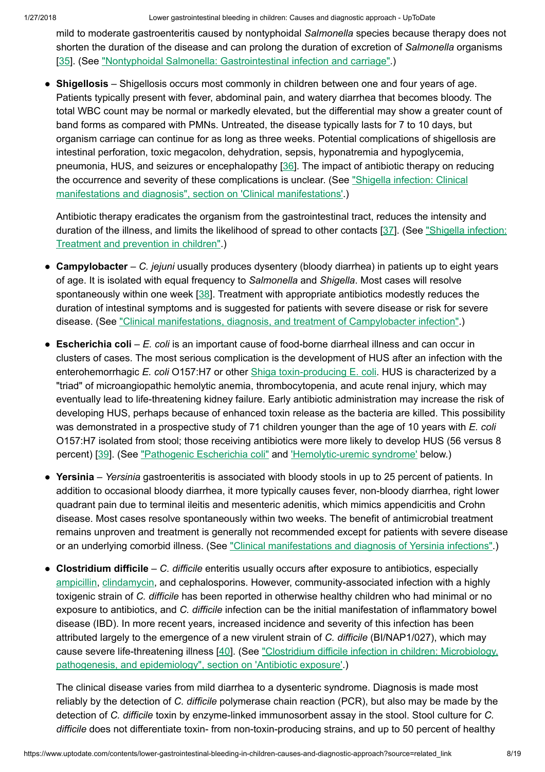mild to moderate gastroenteritis caused by nontyphoidal Salmonella species because therapy does not shorten the duration of the disease and can prolong the duration of excretion of Salmonella organisms [\[35](https://www.uptodate.com/contents/lower-gastrointestinal-bleeding-in-children-causes-and-diagnostic-approach/abstract/35)]. (See ["Nontyphoidal Salmonella:](https://www.uptodate.com/contents/nontyphoidal-salmonella-gastrointestinal-infection-and-carriage?source=see_link) Gastrointestinal infection and carriage".)

• Shigellosis – Shigellosis occurs most commonly in children between one and four years of age. Patients typically present with fever, abdominal pain, and watery diarrhea that becomes bloody. The total WBC count may be normal or markedly elevated, but the differential may show a greater count of band forms as compared with PMNs. Untreated, the disease typically lasts for 7 to 10 days, but organism carriage can continue for as long as three weeks. Potential complications of shigellosis are intestinal perforation, toxic megacolon, dehydration, sepsis, hyponatremia and hypoglycemia, pneumonia, HUS, and seizures or encephalopathy [[36\]](https://www.uptodate.com/contents/lower-gastrointestinal-bleeding-in-children-causes-and-diagnostic-approach/abstract/36). The impact of antibiotic therapy on reducing the occurrence and severity of these complications is unclear. (See "Shigella infection: Clinical manifestations and diagnosis", section on ['Clinical manifestations'.\)](https://www.uptodate.com/contents/shigella-infection-clinical-manifestations-and-diagnosis?sectionName=CLINICAL+MANIFESTATIONS&anchor=H2&source=see_link#H2)

Antibiotic therapy eradicates the organism from the gastrointestinal tract, reduces the intensity and duration of the illness, and limits the likelihood of spread to other contacts [\[37](https://www.uptodate.com/contents/lower-gastrointestinal-bleeding-in-children-causes-and-diagnostic-approach/abstract/37)]. (See "Shigella infection: Treatment and [prevention](https://www.uptodate.com/contents/shigella-infection-treatment-and-prevention-in-children?source=see_link) in children".)

- Campylobacter C. jejuni usually produces dysentery (bloody diarrhea) in patients up to eight years of age. It is isolated with equal frequency to Salmonella and Shigella. Most cases will resolve spontaneously within one week  $[38]$  $[38]$ . Treatment with appropriate antibiotics modestly reduces the duration of intestinal symptoms and is suggested for patients with severe disease or risk for severe disease. (See ["Clinical manifestations,](https://www.uptodate.com/contents/clinical-manifestations-diagnosis-and-treatment-of-campylobacter-infection?source=see_link) diagnosis, and treatment of Campylobacter infection".)
- $\bullet$  Escherichia coli E. coli is an important cause of food-borne diarrheal illness and can occur in clusters of cases. The most serious complication is the development of HUS after an infection with the enterohemorrhagic E. coli O157:H7 or other Shiga [toxin-producing](https://www.uptodate.com/external-redirect.do?target_url=http%3A%2F%2Fwww.about-ecoli.com%2F&TOPIC_ID=5904) E. coli. HUS is characterized by a "triad" of microangiopathic hemolytic anemia, thrombocytopenia, and acute renal injury, which may eventually lead to life-threatening kidney failure. Early antibiotic administration may increase the risk of developing HUS, perhaps because of enhanced toxin release as the bacteria are killed. This possibility was demonstrated in a prospective study of 71 children younger than the age of 10 years with E. coli O157:H7 isolated from stool; those receiving antibiotics were more likely to develop HUS (56 versus 8 percent) [\[39](https://www.uptodate.com/contents/lower-gastrointestinal-bleeding-in-children-causes-and-diagnostic-approach/abstract/39)]. (See ["Pathogenic](https://www.uptodate.com/contents/pathogenic-escherichia-coli?source=see_link) Escherichia coli" and ['Hemolytic-uremic](https://www.uptodate.com/contents/lower-gastrointestinal-bleeding-in-children-causes-and-diagnostic-approach?source=related_link#H2193534) syndrome' below.)
- Yersinia Yersinia gastroenteritis is associated with bloody stools in up to 25 percent of patients. In addition to occasional bloody diarrhea, it more typically causes fever, non-bloody diarrhea, right lower quadrant pain due to terminal ileitis and mesenteric adenitis, which mimics appendicitis and Crohn disease. Most cases resolve spontaneously within two weeks. The benefit of antimicrobial treatment remains unproven and treatment is generally not recommended except for patients with severe disease or an underlying comorbid illness. (See ["Clinical manifestations](https://www.uptodate.com/contents/clinical-manifestations-and-diagnosis-of-yersinia-infections?source=see_link) and diagnosis of Yersinia infections".)
- Clostridium difficile C. difficile enteritis usually occurs after exposure to antibiotics, especially [ampicillin,](https://www.uptodate.com/contents/ampicillin-pediatric-drug-information?source=see_link) [clindamycin,](https://www.uptodate.com/contents/clindamycin-pediatric-drug-information?source=see_link) and cephalosporins. However, community-associated infection with a highly toxigenic strain of C. difficile has been reported in otherwise healthy children who had minimal or no exposure to antibiotics, and C. difficile infection can be the initial manifestation of inflammatory bowel disease (IBD). In more recent years, increased incidence and severity of this infection has been attributed largely to the emergence of a new virulent strain of C. difficile (BI/NAP1/027), which may cause severe [life-threatening](https://www.uptodate.com/contents/clostridium-difficile-infection-in-children-microbiology-pathogenesis-and-epidemiology?sectionName=Antibiotic+exposure&anchor=H14&source=see_link#H14) illness [\[40](https://www.uptodate.com/contents/lower-gastrointestinal-bleeding-in-children-causes-and-diagnostic-approach/abstract/40)]. (See "Clostridium difficile infection in children: Microbiology, pathogenesis, and epidemiology", section on 'Antibiotic exposure'.)

The clinical disease varies from mild diarrhea to a dysenteric syndrome. Diagnosis is made most reliably by the detection of C. difficile polymerase chain reaction (PCR), but also may be made by the detection of C. difficile toxin by enzyme-linked immunosorbent assay in the stool. Stool culture for C. difficile does not differentiate toxin- from non-toxin-producing strains, and up to 50 percent of healthy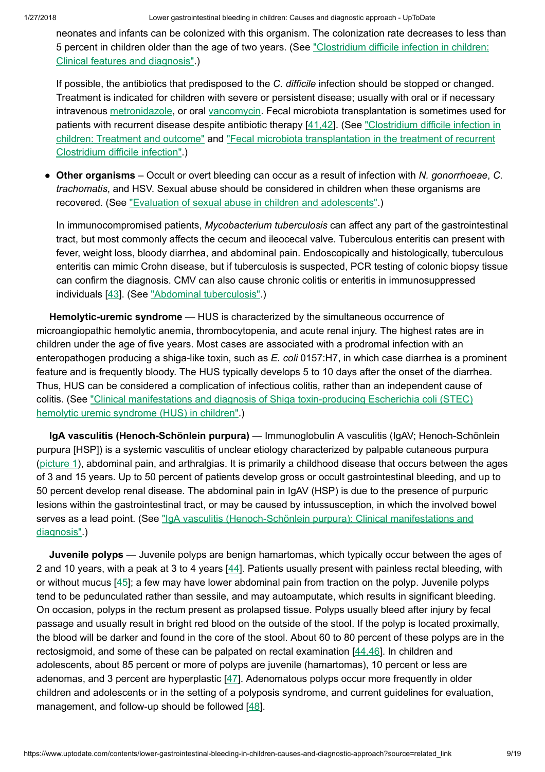neonates and infants can be colonized with this organism. The colonization rate decreases to less than 5 percent in children older than the age of two years. (See "Clostridium difficile infection in children: [Clinical features](https://www.uptodate.com/contents/clostridium-difficile-infection-in-children-clinical-features-and-diagnosis?source=see_link) and diagnosis".)

If possible, the antibiotics that predisposed to the C. difficile infection should be stopped or changed. Treatment is indicated for children with severe or persistent disease; usually with oral or if necessary intravenous [metronidazole](https://www.uptodate.com/contents/metronidazole-pediatric-drug-information?source=see_link), or oral [vancomycin.](https://www.uptodate.com/contents/vancomycin-pediatric-drug-information?source=see_link) Fecal microbiota transplantation is sometimes used for patients with recurrent disease despite antibiotic therapy [[41,42\]](https://www.uptodate.com/contents/lower-gastrointestinal-bleeding-in-children-causes-and-diagnostic-approach/abstract/41,42). (See "Clostridium difficile infection in children: Treatment and outcome" and ["Fecal microbiota](https://www.uptodate.com/contents/fecal-microbiota-transplantation-in-the-treatment-of-recurrent-clostridium-difficile-infection?source=see_link) transplantation in the treatment of recurrent Clostridium difficile infection".)

• Other organisms – Occult or overt bleeding can occur as a result of infection with N. gonorrhoeae, C. trachomatis, and HSV. Sexual abuse should be considered in children when these organisms are recovered. (See "Evaluation of [sexual abuse](https://www.uptodate.com/contents/evaluation-of-sexual-abuse-in-children-and-adolescents?source=see_link) in children and adolescents".)

In immunocompromised patients, Mycobacterium tuberculosis can affect any part of the gastrointestinal tract, but most commonly affects the cecum and ileocecal valve. Tuberculous enteritis can present with fever, weight loss, bloody diarrhea, and abdominal pain. Endoscopically and histologically, tuberculous enteritis can mimic Crohn disease, but if tuberculosis is suspected, PCR testing of colonic biopsy tissue can confirm the diagnosis. CMV can also cause chronic colitis or enteritis in immunosuppressed individuals [[43\]](https://www.uptodate.com/contents/lower-gastrointestinal-bleeding-in-children-causes-and-diagnostic-approach/abstract/43). (See ["Abdominal tuberculosis"](https://www.uptodate.com/contents/abdominal-tuberculosis?source=see_link).)

Hemolytic-uremic syndrome — HUS is characterized by the simultaneous occurrence of microangiopathic hemolytic anemia, thrombocytopenia, and acute renal injury. The highest rates are in children under the age of five years. Most cases are associated with a prodromal infection with an enteropathogen producing a shiga-like toxin, such as E. coli 0157:H7, in which case diarrhea is a prominent feature and is frequently bloody. The HUS typically develops 5 to 10 days after the onset of the diarrhea. Thus, HUS can be considered a complication of infectious colitis, rather than an independent cause of colitis. (See ["Clinical manifestations](https://www.uptodate.com/contents/clinical-manifestations-and-diagnosis-of-shiga-toxin-producing-escherichia-coli-stec-hemolytic-uremic-syndrome-hus-in-children?source=see_link) and diagnosis of Shiga toxin-producing Escherichia coli (STEC) hemolytic uremic syndrome (HUS) in children".)

IgA vasculitis (Henoch-Schönlein purpura) — Immunoglobulin A vasculitis (IgAV; Henoch-Schönlein purpura [HSP]) is a systemic vasculitis of unclear etiology characterized by palpable cutaneous purpura [\(picture](https://www.uptodate.com/contents/image?imageKey=PEDS%2F63367&topicKey=PEDS%2F5904&source=see_link) 1), abdominal pain, and arthralgias. It is primarily a childhood disease that occurs between the ages of 3 and 15 years. Up to 50 percent of patients develop gross or occult gastrointestinal bleeding, and up to 50 percent develop renal disease. The abdominal pain in IgAV (HSP) is due to the presence of purpuric lesions within the gastrointestinal tract, or may be caused by intussusception, in which the involved bowel serves as a lead point. (See "IgA vasculitis (Henoch-Schönlein purpura): [Clinical manifestations](https://www.uptodate.com/contents/iga-vasculitis-henoch-schonlein-purpura-clinical-manifestations-and-diagnosis?source=see_link) and diagnosis".)

Juvenile polyps — Juvenile polyps are benign hamartomas, which typically occur between the ages of 2 and 10 years, with a peak at 3 to 4 years [[44\]](https://www.uptodate.com/contents/lower-gastrointestinal-bleeding-in-children-causes-and-diagnostic-approach/abstract/44). Patients usually present with painless rectal bleeding, with or without mucus  $[45]$  $[45]$ ; a few may have lower abdominal pain from traction on the polyp. Juvenile polyps tend to be pedunculated rather than sessile, and may autoamputate, which results in significant bleeding. On occasion, polyps in the rectum present as prolapsed tissue. Polyps usually bleed after injury by fecal passage and usually result in bright red blood on the outside of the stool. If the polyp is located proximally, the blood will be darker and found in the core of the stool. About 60 to 80 percent of these polyps are in the rectosigmoid, and some of these can be palpated on rectal examination [[44,46\]](https://www.uptodate.com/contents/lower-gastrointestinal-bleeding-in-children-causes-and-diagnostic-approach/abstract/44,46). In children and adolescents, about 85 percent or more of polyps are juvenile (hamartomas), 10 percent or less are adenomas, and 3 percent are hyperplastic [\[47](https://www.uptodate.com/contents/lower-gastrointestinal-bleeding-in-children-causes-and-diagnostic-approach/abstract/47)]. Adenomatous polyps occur more frequently in older children and adolescents or in the setting of a polyposis syndrome, and current guidelines for evaluation, management, and follow-up should be followed [\[48](https://www.uptodate.com/contents/lower-gastrointestinal-bleeding-in-children-causes-and-diagnostic-approach/abstract/48)].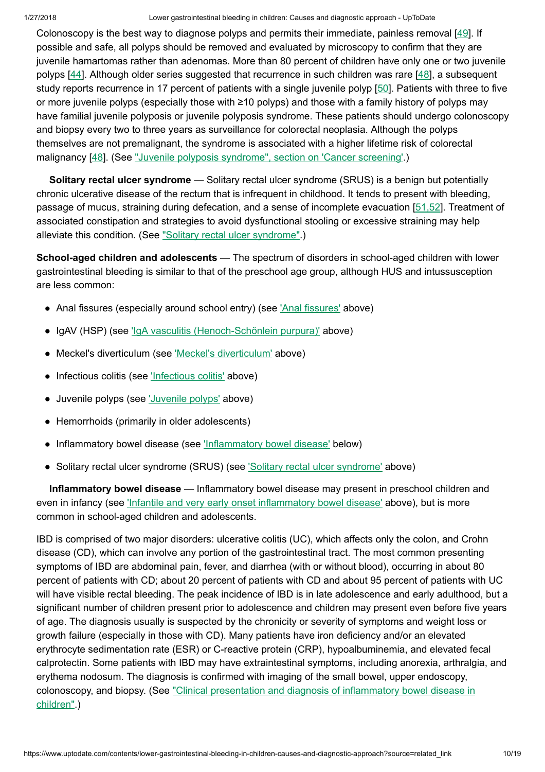Colonoscopy is the best way to diagnose polyps and permits their immediate, painless removal  $[49]$  $[49]$ . If possible and safe, all polyps should be removed and evaluated by microscopy to confirm that they are juvenile hamartomas rather than adenomas. More than 80 percent of children have only one or two juvenile polyps [\[44](https://www.uptodate.com/contents/lower-gastrointestinal-bleeding-in-children-causes-and-diagnostic-approach/abstract/44)]. Although older series suggested that recurrence in such children was rare [[48\]](https://www.uptodate.com/contents/lower-gastrointestinal-bleeding-in-children-causes-and-diagnostic-approach/abstract/48), a subsequent study reports recurrence in 17 percent of patients with a single juvenile polyp [\[50](https://www.uptodate.com/contents/lower-gastrointestinal-bleeding-in-children-causes-and-diagnostic-approach/abstract/50)]. Patients with three to five or more juvenile polyps (especially those with ≥10 polyps) and those with a family history of polyps may have familial juvenile polyposis or juvenile polyposis syndrome. These patients should undergo colonoscopy and biopsy every two to three years as surveillance for colorectal neoplasia. Although the polyps themselves are not premalignant, the syndrome is associated with a higher lifetime risk of colorectal malignancy [\[48](https://www.uptodate.com/contents/lower-gastrointestinal-bleeding-in-children-causes-and-diagnostic-approach/abstract/48)]. (See "Juvenile polyposis [syndrome",](https://www.uptodate.com/contents/juvenile-polyposis-syndrome?sectionName=Cancer+screening&anchor=H426436025&source=see_link#H426436025) section on 'Cancer screening'.)

Solitary rectal ulcer syndrome — Solitary rectal ulcer syndrome (SRUS) is a benign but potentially chronic ulcerative disease of the rectum that is infrequent in childhood. It tends to present with bleeding, passage of mucus, straining during defecation, and a sense of incomplete evacuation [[51,52\]](https://www.uptodate.com/contents/lower-gastrointestinal-bleeding-in-children-causes-and-diagnostic-approach/abstract/51,52). Treatment of associated constipation and strategies to avoid dysfunctional stooling or excessive straining may help alleviate this condition. (See "Solitary [rectal ulcer](https://www.uptodate.com/contents/solitary-rectal-ulcer-syndrome?source=see_link) syndrome".)

School-aged children and adolescents — The spectrum of disorders in school-aged children with lower gastrointestinal bleeding is similar to that of the preschool age group, although HUS and intussusception are less common:

- Anal fissures (especially around school entry) (see ['Anal fissures'](https://www.uptodate.com/contents/lower-gastrointestinal-bleeding-in-children-causes-and-diagnostic-approach?source=related_link#H10) above)
- IgAV (HSP) (see 'IgA vasculitis [\(Henoch-Schönlein](https://www.uptodate.com/contents/lower-gastrointestinal-bleeding-in-children-causes-and-diagnostic-approach?source=related_link#H2193701) purpura)' above)
- Meckel's diverticulum (see 'Meckel's [diverticulum'](https://www.uptodate.com/contents/lower-gastrointestinal-bleeding-in-children-causes-and-diagnostic-approach?source=related_link#H19) above)
- Infectious colitis (see ['Infectious](https://www.uptodate.com/contents/lower-gastrointestinal-bleeding-in-children-causes-and-diagnostic-approach?source=related_link#H24) colitis' above)
- Juvenile polyps (see ['Juvenile](https://www.uptodate.com/contents/lower-gastrointestinal-bleeding-in-children-causes-and-diagnostic-approach?source=related_link#H32) polyps' above)
- Hemorrhoids (primarily in older adolescents)
- Inflammatory bowel disease (see 'Inflammatory [bowel disease'](https://www.uptodate.com/contents/lower-gastrointestinal-bleeding-in-children-causes-and-diagnostic-approach?source=related_link#H17730768) below)
- Solitary [rectal ulcer](https://www.uptodate.com/contents/lower-gastrointestinal-bleeding-in-children-causes-and-diagnostic-approach?source=related_link#H2524121185) syndrome (SRUS) (see 'Solitary rectal ulcer syndrome' above)

Inflammatory bowel disease — Inflammatory bowel disease may present in preschool children and even in infancy (see 'Infantile and very early onset inflammatory [bowel disease'](https://www.uptodate.com/contents/lower-gastrointestinal-bleeding-in-children-causes-and-diagnostic-approach?source=related_link#H2671594963) above), but is more common in school-aged children and adolescents.

IBD is comprised of two major disorders: ulcerative colitis (UC), which affects only the colon, and Crohn disease (CD), which can involve any portion of the gastrointestinal tract. The most common presenting symptoms of IBD are abdominal pain, fever, and diarrhea (with or without blood), occurring in about 80 percent of patients with CD; about 20 percent of patients with CD and about 95 percent of patients with UC will have visible rectal bleeding. The peak incidence of IBD is in late adolescence and early adulthood, but a significant number of children present prior to adolescence and children may present even before five years of age. The diagnosis usually is suspected by the chronicity or severity of symptoms and weight loss or growth failure (especially in those with CD). Many patients have iron deficiency and/or an elevated erythrocyte sedimentation rate (ESR) or C-reactive protein (CRP), hypoalbuminemia, and elevated fecal calprotectin. Some patients with IBD may have extraintestinal symptoms, including anorexia, arthralgia, and erythema nodosum. The diagnosis is confirmed with imaging of the small bowel, upper endoscopy, colonoscopy, and biopsy. (See ["Clinical presentation](https://www.uptodate.com/contents/clinical-presentation-and-diagnosis-of-inflammatory-bowel-disease-in-children?source=see_link) and diagnosis of inflammatory bowel disease in children".)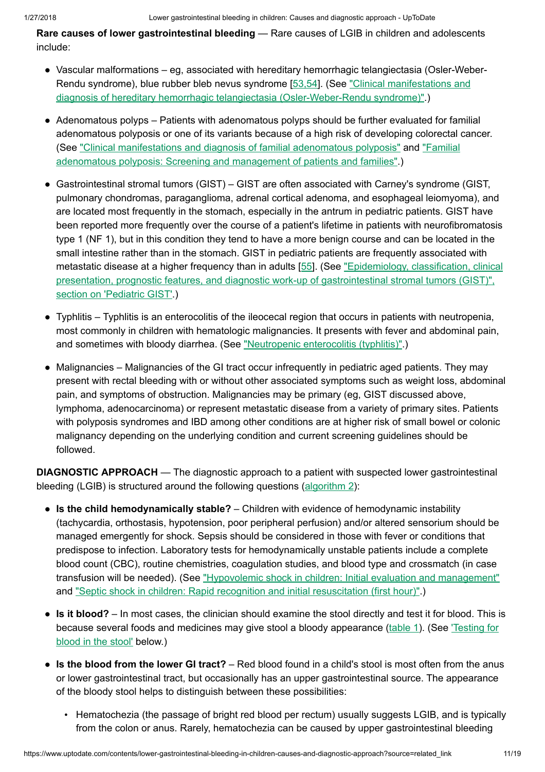Rare causes of lower gastrointestinal bleeding — Rare causes of LGIB in children and adolescents include:

- Vascular malformations eg, associated with hereditary hemorrhagic telangiectasia (Osler-Weber-● Rendu syndrome), blue rubber bleb nevus syndrome [\[53,54](https://www.uptodate.com/contents/lower-gastrointestinal-bleeding-in-children-causes-and-diagnostic-approach/abstract/53,54)]. (See ["Clinical manifestations](https://www.uptodate.com/contents/clinical-manifestations-and-diagnosis-of-hereditary-hemorrhagic-telangiectasia-osler-weber-rendu-syndrome?source=see_link) and diagnosis of hereditary hemorrhagic telangiectasia (Osler-Weber-Rendu syndrome)".)
- Adenomatous polyps Patients with adenomatous polyps should be further evaluated for familial adenomatous polyposis or one of its variants because of a high risk of developing colorectal cancer. (See ["](https://www.uptodate.com/contents/familial-adenomatous-polyposis-screening-and-management-of-patients-and-families?source=see_link)[Clinical manifestations](https://www.uptodate.com/contents/clinical-manifestations-and-diagnosis-of-familial-adenomatous-polyposis?source=see_link) and diagnosis of familial adenomatous polyposis" and "Familial adenomatous polyposis: Screening and management of patients and families".)
- Gastrointestinal stromal tumors (GIST) GIST are often associated with Carney's syndrome (GIST, pulmonary chondromas, paraganglioma, adrenal cortical adenoma, and esophageal leiomyoma), and are located most frequently in the stomach, especially in the antrum in pediatric patients. GIST have been reported more frequently over the course of a patient's lifetime in patients with neurofibromatosis type 1 (NF 1), but in this condition they tend to have a more benign course and can be located in the small intestine rather than in the stomach. GIST in pediatric patients are frequently associated with metastatic disease at a higher frequency than in adults [\[55](https://www.uptodate.com/contents/lower-gastrointestinal-bleeding-in-children-causes-and-diagnostic-approach/abstract/55)]. (See "Epidemiology, classification, clinical presentation, prognostic features, and diagnostic work-up of [gastrointestinal stromal tumors](https://www.uptodate.com/contents/epidemiology-classification-clinical-presentation-prognostic-features-and-diagnostic-work-up-of-gastrointestinal-stromal-tumors-gist?sectionName=Pediatric+GIST&anchor=H1013925&source=see_link#H1013925) (GIST)", section on 'Pediatric GIST'.)
- Typhlitis Typhlitis is an enterocolitis of the ileocecal region that occurs in patients with neutropenia, most commonly in children with hematologic malignancies. It presents with fever and abdominal pain, and sometimes with bloody diarrhea. (See ["Neutropenic](https://www.uptodate.com/contents/neutropenic-enterocolitis-typhlitis?source=see_link) enterocolitis (typhlitis)".)
- Malignancies Malignancies of the GI tract occur infrequently in pediatric aged patients. They may present with rectal bleeding with or without other associated symptoms such as weight loss, abdominal pain, and symptoms of obstruction. Malignancies may be primary (eg, GIST discussed above, lymphoma, adenocarcinoma) or represent metastatic disease from a variety of primary sites. Patients with polyposis syndromes and IBD among other conditions are at higher risk of small bowel or colonic malignancy depending on the underlying condition and current screening guidelines should be followed.

**DIAGNOSTIC APPROACH** — The diagnostic approach to a patient with suspected lower gastrointestinal bleeding (LGIB) is structured around the following questions ([algorithm](https://www.uptodate.com/contents/image?imageKey=PEDS%2F95763&topicKey=PEDS%2F5904&source=see_link) 2):

- Is the child hemodynamically stable? Children with evidence of hemodynamic instability (tachycardia, orthostasis, hypotension, poor peripheral perfusion) and/or altered sensorium should be managed emergently for shock. Sepsis should be considered in those with fever or conditions that predispose to infection. Laboratory tests for hemodynamically unstable patients include a complete blood count (CBC), routine chemistries, coagulation studies, and blood type and crossmatch (in case transfusion will be needed). (See "Hypovolemic shock in children: [Initial evaluation](https://www.uptodate.com/contents/hypovolemic-shock-in-children-initial-evaluation-and-management?source=see_link) and management" and "Septic shock in children: Rapid recognition and [initial resuscitation](https://www.uptodate.com/contents/septic-shock-in-children-rapid-recognition-and-initial-resuscitation-first-hour?source=see_link) (first hour)".)
- Is it blood? In most cases, the clinician should examine the stool directly and test it for blood. This is because [several foods](https://www.uptodate.com/contents/lower-gastrointestinal-bleeding-in-children-causes-and-diagnostic-approach?source=related_link#H631791217) and medicines may give stool a bloody appearance [\(table](https://www.uptodate.com/contents/image?imageKey=PEDS%2F72978&topicKey=PEDS%2F5904&source=see_link) 1). (See 'Testing for blood in the stool' below.)
- Is the blood from the lower GI tract? Red blood found in a child's stool is most often from the anus or lower gastrointestinal tract, but occasionally has an upper gastrointestinal source. The appearance of the bloody stool helps to distinguish between these possibilities:
	- Hematochezia (the passage of bright red blood per rectum) usually suggests LGIB, and is typically from the colon or anus. Rarely, hematochezia can be caused by upper gastrointestinal bleeding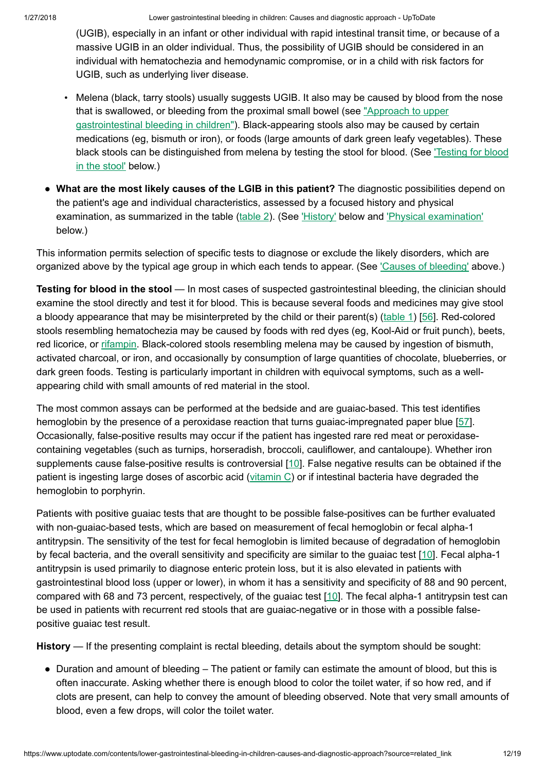(UGIB), especially in an infant or other individual with rapid intestinal transit time, or because of a massive UGIB in an older individual. Thus, the possibility of UGIB should be considered in an individual with hematochezia and hemodynamic compromise, or in a child with risk factors for UGIB, such as underlying liver disease.

- Melena (black, tarry stools) usually suggests UGIB. It also may be caused by blood from the nose that is swallowed, or bleeding from the [proximal small bowel \(see](https://www.uptodate.com/contents/approach-to-upper-gastrointestinal-bleeding-in-children?source=see_link) "Approach to upper gastrointestinal bleeding in children"). Black-appearing stools also may be caused by certain medications (eg, bismuth or iron), or foods (large amounts of dark green leafy vegetables). These black stools can be [distinguished](https://www.uptodate.com/contents/lower-gastrointestinal-bleeding-in-children-causes-and-diagnostic-approach?source=related_link#H631791217) from melena by testing the stool for blood. (See 'Testing for blood in the stool' below.)
- What are the most likely causes of the LGIB in this patient? The diagnostic possibilities depend on the patient's age and individual characteristics, assessed by a focused history and physical examination, as summarized in the table ([table](https://www.uptodate.com/contents/image?imageKey=PEDS%2F95764&topicKey=PEDS%2F5904&source=see_link) 2). (See ['History'](https://www.uptodate.com/contents/lower-gastrointestinal-bleeding-in-children-causes-and-diagnostic-approach?source=related_link#H631791274) below and ['Physical examination'](https://www.uptodate.com/contents/lower-gastrointestinal-bleeding-in-children-causes-and-diagnostic-approach?source=related_link#H631791567) below.)

This information permits selection of specific tests to diagnose or exclude the likely disorders, which are organized above by the typical age group in which each tends to appear. (See 'Causes of [bleeding'](https://www.uptodate.com/contents/lower-gastrointestinal-bleeding-in-children-causes-and-diagnostic-approach?source=related_link#H6) above.)

Testing for blood in the stool — In most cases of suspected gastrointestinal bleeding, the clinician should examine the stool directly and test it for blood. This is because several foods and medicines may give stool a bloody appearance that may be misinterpreted by the child or their parent(s) [\(table](https://www.uptodate.com/contents/image?imageKey=PEDS%2F72978&topicKey=PEDS%2F5904&source=see_link) 1) [\[56](https://www.uptodate.com/contents/lower-gastrointestinal-bleeding-in-children-causes-and-diagnostic-approach/abstract/56)]. Red-colored stools resembling hematochezia may be caused by foods with red dyes (eg, Kool-Aid or fruit punch), beets, red licorice, or [rifampin](https://www.uptodate.com/contents/rifampin-rifampicin-pediatric-drug-information?source=see_link). Black-colored stools resembling melena may be caused by ingestion of bismuth, activated charcoal, or iron, and occasionally by consumption of large quantities of chocolate, blueberries, or dark green foods. Testing is particularly important in children with equivocal symptoms, such as a wellappearing child with small amounts of red material in the stool.

The most common assays can be performed at the bedside and are guaiac-based. This test identifies hemoglobin by the presence of a peroxidase reaction that turns guaiac-impregnated paper blue [\[57](https://www.uptodate.com/contents/lower-gastrointestinal-bleeding-in-children-causes-and-diagnostic-approach/abstract/57)]. Occasionally, false-positive results may occur if the patient has ingested rare red meat or peroxidasecontaining vegetables (such as turnips, horseradish, broccoli, cauliflower, and cantaloupe). Whether iron supplements cause false-positive results is controversial [[10\]](https://www.uptodate.com/contents/lower-gastrointestinal-bleeding-in-children-causes-and-diagnostic-approach/abstract/10). False negative results can be obtained if the patient is ingesting large doses of ascorbic acid ([vitamin](https://www.uptodate.com/contents/vitamin-c-ascorbic-acid-pediatric-drug-information?source=see_link) C) or if intestinal bacteria have degraded the hemoglobin to porphyrin.

Patients with positive guaiac tests that are thought to be possible false-positives can be further evaluated with non-guaiac-based tests, which are based on measurement of fecal hemoglobin or fecal alpha-1 antitrypsin. The sensitivity of the test for fecal hemoglobin is limited because of degradation of hemoglobin by fecal bacteria, and the overall sensitivity and specificity are similar to the quaiac test [\[10](https://www.uptodate.com/contents/lower-gastrointestinal-bleeding-in-children-causes-and-diagnostic-approach/abstract/10)]. Fecal alpha-1 antitrypsin is used primarily to diagnose enteric protein loss, but it is also elevated in patients with gastrointestinal blood loss (upper or lower), in whom it has a sensitivity and specificity of 88 and 90 percent, compared with 68 and 73 percent, respectively, of the guaiac test [[10\]](https://www.uptodate.com/contents/lower-gastrointestinal-bleeding-in-children-causes-and-diagnostic-approach/abstract/10). The fecal alpha-1 antitrypsin test can be used in patients with recurrent red stools that are guaiac-negative or in those with a possible falsepositive guaiac test result.

History — If the presenting complaint is rectal bleeding, details about the symptom should be sought:

• Duration and amount of bleeding – The patient or family can estimate the amount of blood, but this is often inaccurate. Asking whether there is enough blood to color the toilet water, if so how red, and if clots are present, can help to convey the amount of bleeding observed. Note that very small amounts of blood, even a few drops, will color the toilet water.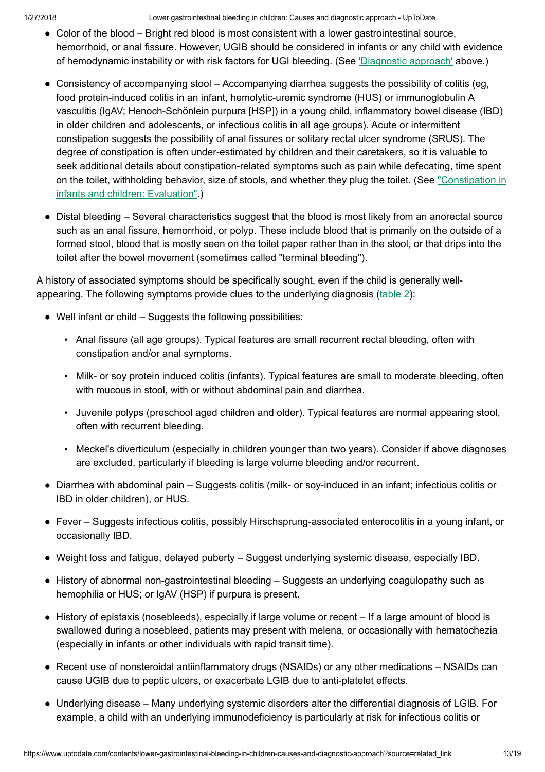1/27/2018 Lower gastrointestinal bleeding in children: Causes and diagnostic approach - UpToDate

- Color of the blood Bright red blood is most consistent with a lower gastrointestinal source, hemorrhoid, or anal fissure. However, UGIB should be considered in infants or any child with evidence of hemodynamic instability or with risk factors for UGI bleeding. (See ['Diagnostic](https://www.uptodate.com/contents/lower-gastrointestinal-bleeding-in-children-causes-and-diagnostic-approach?source=related_link#H631790574) approach' above.)
- Consistency of accompanying stool Accompanying diarrhea suggests the possibility of colitis (eg, food protein-induced colitis in an infant, hemolytic-uremic syndrome (HUS) or immunoglobulin A vasculitis (IgAV; Henoch-Schönlein purpura [HSP]) in a young child, inflammatory bowel disease (IBD) in older children and adolescents, or infectious colitis in all age groups). Acute or intermittent constipation suggests the possibility of anal fissures or solitary rectal ulcer syndrome (SRUS). The degree of constipation is often under-estimated by children and their caretakers, so it is valuable to seek additional details about constipation-related symptoms such as pain while defecating, time spent on the toilet, withholding behavior, size of stools, and whether they plug the toilet. (See ["Constipation](https://www.uptodate.com/contents/constipation-in-infants-and-children-evaluation?source=see_link) in infants and children: Evaluation".)
- Distal bleeding Several characteristics suggest that the blood is most likely from an anorectal source such as an anal fissure, hemorrhoid, or polyp. These include blood that is primarily on the outside of a formed stool, blood that is mostly seen on the toilet paper rather than in the stool, or that drips into the toilet after the bowel movement (sometimes called "terminal bleeding").

A history of associated symptoms should be specifically sought, even if the child is generally wellappearing. The following symptoms provide clues to the underlying diagnosis ([table](https://www.uptodate.com/contents/image?imageKey=PEDS%2F95764&topicKey=PEDS%2F5904&source=see_link)  $2$ ):

- Well infant or child Suggests the following possibilities:
	- Anal fissure (all age groups). Typical features are small recurrent rectal bleeding, often with constipation and/or anal symptoms.
	- Milk- or soy protein induced colitis (infants). Typical features are small to moderate bleeding, often with mucous in stool, with or without abdominal pain and diarrhea.
	- Juvenile polyps (preschool aged children and older). Typical features are normal appearing stool, often with recurrent bleeding.
	- Meckel's diverticulum (especially in children younger than two years). Consider if above diagnoses are excluded, particularly if bleeding is large volume bleeding and/or recurrent.
- Diarrhea with abdominal pain Suggests colitis (milk- or soy-induced in an infant; infectious colitis or IBD in older children), or HUS.
- Fever Suggests infectious colitis, possibly Hirschsprung-associated enterocolitis in a young infant, or occasionally IBD.
- Weight loss and fatigue, delayed puberty Suggest underlying systemic disease, especially IBD.
- History of abnormal non-gastrointestinal bleeding Suggests an underlying coagulopathy such as hemophilia or HUS; or IgAV (HSP) if purpura is present.
- History of epistaxis (nosebleeds), especially if large volume or recent If a large amount of blood is swallowed during a nosebleed, patients may present with melena, or occasionally with hematochezia (especially in infants or other individuals with rapid transit time).
- Recent use of nonsteroidal antiinflammatory drugs (NSAIDs) or any other medications NSAIDs can cause UGIB due to peptic ulcers, or exacerbate LGIB due to anti-platelet effects.
- Underlying disease Many underlying systemic disorders alter the differential diagnosis of LGIB. For ●example, a child with an underlying immunodeficiency is particularly at risk for infectious colitis or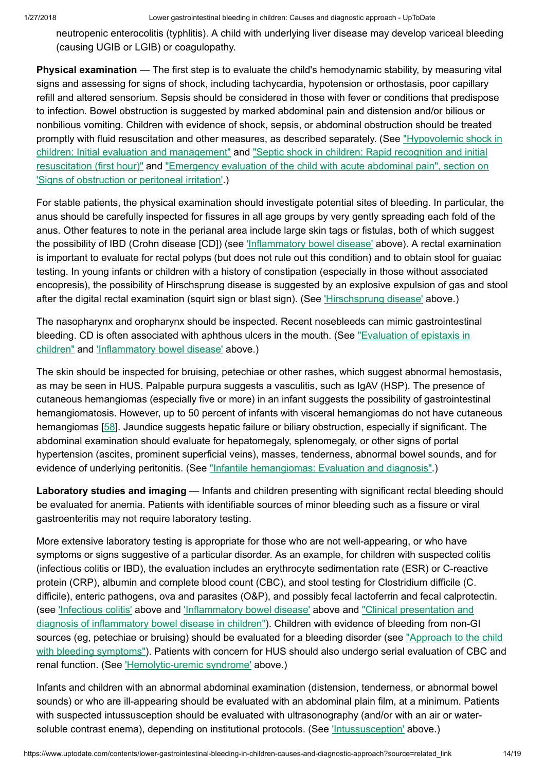neutropenic enterocolitis (typhlitis). A child with underlying liver disease may develop variceal bleeding (causing UGIB or LGIB) or coagulopathy.

Physical examination — The first step is to evaluate the child's hemodynamic stability, by measuring vital signs and assessing for signs of shock, including tachycardia, hypotension or orthostasis, poor capillary refill and altered sensorium. Sepsis should be considered in those with fever or conditions that predispose to infection. Bowel obstruction is suggested by marked abdominal pain and distension and/or bilious or nonbilious vomiting. Children with evidence of shock, sepsis, or abdominal obstruction should be treated promptly with fluid resuscitation and other measures, as described separately. (See "Hypovolemic shock in children: [Initial evaluation](https://www.uptodate.com/contents/hypovolemic-shock-in-children-initial-evaluation-and-management?source=see_link) and management" and "Septic shock in children: Rapid recognition and initial resuscitation (first hour)" and "Emergency evaluation of the child with acute [abdominal pain",](https://www.uptodate.com/contents/septic-shock-in-children-rapid-recognition-and-initial-resuscitation-first-hour?source=see_link) section on 'Signs of obstruction or [peritoneal irritation'.\)](https://www.uptodate.com/contents/emergency-evaluation-of-the-child-with-acute-abdominal-pain?sectionName=Signs+of+obstruction+or+peritoneal+irritation&anchor=H20&source=see_link#H20)

For stable patients, the physical examination should investigate potential sites of bleeding. In particular, the anus should be carefully inspected for fissures in all age groups by very gently spreading each fold of the anus. Other features to note in the perianal area include large skin tags or fistulas, both of which suggest the possibility of IBD (Crohn disease [CD]) (see 'Inflammatory [bowel disease'](https://www.uptodate.com/contents/lower-gastrointestinal-bleeding-in-children-causes-and-diagnostic-approach?source=related_link#H17730768) above). A rectal examination is important to evaluate for rectal polyps (but does not rule out this condition) and to obtain stool for guaiac testing. In young infants or children with a history of constipation (especially in those without associated encopresis), the possibility of Hirschsprung disease is suggested by an explosive expulsion of gas and stool after the digital rectal examination (squirt sign or blast sign). (See *Hirschsprung disease'* above.)

The nasopharynx and oropharynx should be inspected. Recent nosebleeds can mimic gastrointestinal bleeding. CD is often associated with aphthous ulcers in the mouth. (See "Evaluation of epistaxis in children" and 'Inflammatory [bowel disease'](https://www.uptodate.com/contents/evaluation-of-epistaxis-in-children?source=see_link) above.)

The skin should be inspected for bruising, petechiae or other rashes, which suggest abnormal hemostasis, as may be seen in HUS. Palpable purpura suggests a vasculitis, such as IgAV (HSP). The presence of cutaneous hemangiomas (especially five or more) in an infant suggests the possibility of gastrointestinal hemangiomatosis. However, up to 50 percent of infants with visceral hemangiomas do not have cutaneous hemangiomas [[58\]](https://www.uptodate.com/contents/lower-gastrointestinal-bleeding-in-children-causes-and-diagnostic-approach/abstract/58). Jaundice suggests hepatic failure or biliary obstruction, especially if significant. The abdominal examination should evaluate for hepatomegaly, splenomegaly, or other signs of portal hypertension (ascites, prominent superficial veins), masses, tenderness, abnormal bowel sounds, and for evidence of underlying peritonitis. (See "Infantile [hemangiomas:](https://www.uptodate.com/contents/infantile-hemangiomas-evaluation-and-diagnosis?source=see_link) Evaluation and diagnosis".)

Laboratory studies and imaging — Infants and children presenting with significant rectal bleeding should be evaluated for anemia. Patients with identifiable sources of minor bleeding such as a fissure or viral gastroenteritis may not require laboratory testing.

More extensive laboratory testing is appropriate for those who are not well-appearing, or who have symptoms or signs suggestive of a particular disorder. As an example, for children with suspected colitis (infectious colitis or IBD), the evaluation includes an erythrocyte sedimentation rate (ESR) or C-reactive protein (CRP), albumin and complete blood count (CBC), and stool testing for Clostridium difficile (C. difficile), enteric pathogens, ova and parasites (O&P), and possibly fecal lactoferrin and fecal calprotectin. (see ['Infectious](https://www.uptodate.com/contents/lower-gastrointestinal-bleeding-in-children-causes-and-diagnostic-approach?source=related_link#H24) colitis' above and 'Inflammatory [bowel disease'](https://www.uptodate.com/contents/lower-gastrointestinal-bleeding-in-children-causes-and-diagnostic-approach?source=related_link#H17730768) above and ["Clinical presentation](https://www.uptodate.com/contents/clinical-presentation-and-diagnosis-of-inflammatory-bowel-disease-in-children?source=see_link) and diagnosis of inflammatory bowel disease in children"). Children with evidence of bleeding from non-GI sources (eg, petechiae or bruising) should be evaluated for a bleeding disorder (see "Approach to the child with bleeding symptoms"). Patients with concern for HUS should also undergo [serial evaluation](https://www.uptodate.com/contents/approach-to-the-child-with-bleeding-symptoms?source=see_link) of CBC and renal function. (See ['Hemolytic-uremic](https://www.uptodate.com/contents/lower-gastrointestinal-bleeding-in-children-causes-and-diagnostic-approach?source=related_link#H2193534) syndrome' above.)

Infants and children with an abnormal abdominal examination (distension, tenderness, or abnormal bowel sounds) or who are ill-appearing should be evaluated with an abdominal plain film, at a minimum. Patients with suspected intussusception should be evaluated with ultrasonography (and/or with an air or watersoluble contrast enema), depending on institutional protocols. (See ['Intussusception'](https://www.uptodate.com/contents/lower-gastrointestinal-bleeding-in-children-causes-and-diagnostic-approach?source=related_link#H18) above.)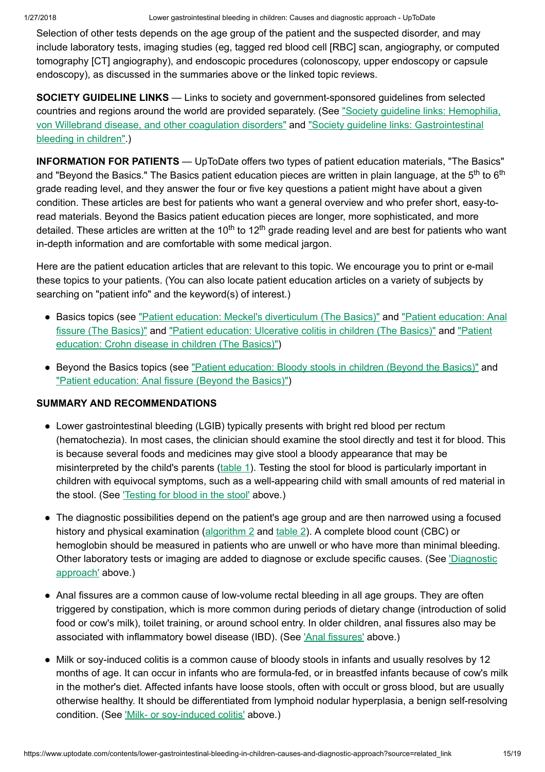Selection of other tests depends on the age group of the patient and the suspected disorder, and may include laboratory tests, imaging studies (eg, tagged red blood cell [RBC] scan, angiography, or computed tomography [CT] angiography), and endoscopic procedures (colonoscopy, upper endoscopy or capsule endoscopy), as discussed in the summaries above or the linked topic reviews.

SOCIETY GUIDELINE LINKS — Links to society and government-sponsored guidelines from selected countries and regions around the world are provided separately. (See "Society quideline links: Hemophilia, von Willebrand disease, and other coagulation disorders" and "Society guideline links: [Gastrointestinal](https://www.uptodate.com/contents/society-guideline-links-gastrointestinal-bleeding-in-children?source=see_link) bleeding in children".)

INFORMATION FOR PATIENTS — UpToDate offers two types of patient education materials, "The Basics" and "Beyond the Basics." The Basics patient education pieces are written in plain language, at the 5<sup>th</sup> to 6<sup>th</sup> grade reading level, and they answer the four or five key questions a patient might have about a given condition. These articles are best for patients who want a general overview and who prefer short, easy-toread materials. Beyond the Basics patient education pieces are longer, more sophisticated, and more detailed. These articles are written at the 10<sup>th</sup> to 12<sup>th</sup> grade reading level and are best for patients who want in-depth information and are comfortable with some medical jargon.

Here are the patient education articles that are relevant to this topic. We encourage you to print or e-mail these topics to your patients. (You can also locate patient education articles on a variety of subjects by searching on "patient info" and the keyword(s) of interest.)

- Basics topics (see "Patient education: Meckel's [diverticulum](https://www.uptodate.com/contents/meckels-diverticulum-the-basics?source=see_link) (The Basics)" and "Patient education: Anal fissure (The Basics)" and "Patient [education:](https://www.uptodate.com/contents/ulcerative-colitis-in-children-the-basics?source=see_link) Ulcerative colitis in children (The Basics)" and "Patient [education:](https://www.uptodate.com/contents/crohn-disease-in-children-the-basics?source=see_link) Crohn disease in children (The Basics)")
- Beyond the Basics topics (see "Patient [education:](https://www.uptodate.com/contents/bloody-stools-in-children-beyond-the-basics?source=see_link) Bloody stools in children (Beyond the Basics)" and "Patient education: [Anal fissure](https://www.uptodate.com/contents/anal-fissure-beyond-the-basics?source=see_link) (Beyond the Basics)")

## SUMMARY AND RECOMMENDATIONS

- Lower gastrointestinal bleeding (LGIB) typically presents with bright red blood per rectum (hematochezia). In most cases, the clinician should examine the stool directly and test it for blood. This is because several foods and medicines may give stool a bloody appearance that may be misinterpreted by the child's parents ([table](https://www.uptodate.com/contents/image?imageKey=PEDS%2F72978&topicKey=PEDS%2F5904&source=see_link) 1). Testing the stool for blood is particularly important in children with equivocal symptoms, such as a well-appearing child with small amounts of red material in the stool. (See ['Testing](https://www.uptodate.com/contents/lower-gastrointestinal-bleeding-in-children-causes-and-diagnostic-approach?source=related_link#H631791217) for blood in the stool' above.)
- The diagnostic possibilities depend on the patient's age group and are then narrowed using a focused history and physical examination [\(algorithm](https://www.uptodate.com/contents/image?imageKey=PEDS%2F95763&topicKey=PEDS%2F5904&source=see_link) 2 and [table](https://www.uptodate.com/contents/image?imageKey=PEDS%2F95764&topicKey=PEDS%2F5904&source=see_link) 2). A complete blood count (CBC) or hemoglobin should be measured in patients who are unwell or who have more than minimal bleeding. Other laboratory tests or imaging are added to diagnose or exclude specific causes. (See ['Diagnostic](https://www.uptodate.com/contents/lower-gastrointestinal-bleeding-in-children-causes-and-diagnostic-approach?source=related_link#H631790574) approach' above.)
- Anal fissures are a common cause of low-volume rectal bleeding in all age groups. They are often triggered by constipation, which is more common during periods of dietary change (introduction of solid food or cow's milk), toilet training, or around school entry. In older children, anal fissures also may be associated with inflammatory bowel disease (IBD). (See ['Anal fissures'](https://www.uptodate.com/contents/lower-gastrointestinal-bleeding-in-children-causes-and-diagnostic-approach?source=related_link#H10) above.)
- Milk or soy-induced colitis is a common cause of bloody stools in infants and usually resolves by 12 ●months of age. It can occur in infants who are formula-fed, or in breastfed infants because of cow's milk in the mother's diet. Affected infants have loose stools, often with occult or gross blood, but are usually otherwise healthy. It should be differentiated from lymphoid nodular hyperplasia, a benign self-resolving condition. (See 'Milk- or [soy-induced](https://www.uptodate.com/contents/lower-gastrointestinal-bleeding-in-children-causes-and-diagnostic-approach?source=related_link#H17) colitis' above.)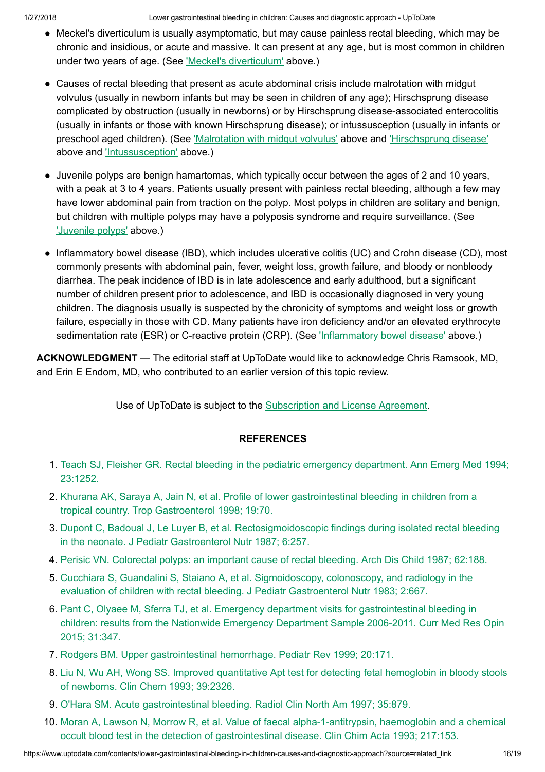1/27/2018 Lower gastrointestinal bleeding in children: Causes and diagnostic approach - UpToDate

- Meckel's diverticulum is usually asymptomatic, but may cause painless rectal bleeding, which may be chronic and insidious, or acute and massive. It can present at any age, but is most common in children under two years of age. (See 'Meckel's [diverticulum'](https://www.uptodate.com/contents/lower-gastrointestinal-bleeding-in-children-causes-and-diagnostic-approach?source=related_link#H19) above.)
- Causes of rectal bleeding that present as acute abdominal crisis include malrotation with midgut volvulus (usually in newborn infants but may be seen in children of any age); Hirschsprung disease complicated by obstruction (usually in newborns) or by Hirschsprung disease-associated enterocolitis (usually in infants or those with known Hirschsprung disease); or intussusception (usually in infants or preschool aged children). (See ['Malrotation](https://www.uptodate.com/contents/lower-gastrointestinal-bleeding-in-children-causes-and-diagnostic-approach?source=related_link#H12) with midgut volvulus' above and ['Hirschsprung](https://www.uptodate.com/contents/lower-gastrointestinal-bleeding-in-children-causes-and-diagnostic-approach?source=related_link#H13) disease' above and ['Intussusception'](https://www.uptodate.com/contents/lower-gastrointestinal-bleeding-in-children-causes-and-diagnostic-approach?source=related_link#H18) above.)
- Juvenile polyps are benign hamartomas, which typically occur between the ages of 2 and 10 years, with a peak at 3 to 4 years. Patients usually present with painless rectal bleeding, although a few may have lower abdominal pain from traction on the polyp. Most polyps in children are solitary and benign, but children with multiple polyps may have a polyposis syndrome and require surveillance. (See ['Juvenile](https://www.uptodate.com/contents/lower-gastrointestinal-bleeding-in-children-causes-and-diagnostic-approach?source=related_link#H32) polyps' above.)
- Inflammatory bowel disease (IBD), which includes ulcerative colitis (UC) and Crohn disease (CD), most commonly presents with abdominal pain, fever, weight loss, growth failure, and bloody or nonbloody diarrhea. The peak incidence of IBD is in late adolescence and early adulthood, but a significant number of children present prior to adolescence, and IBD is occasionally diagnosed in very young children. The diagnosis usually is suspected by the chronicity of symptoms and weight loss or growth failure, especially in those with CD. Many patients have iron deficiency and/or an elevated erythrocyte sedimentation rate (ESR) or C-reactive protein (CRP). (See 'Inflammatory [bowel disease'](https://www.uptodate.com/contents/lower-gastrointestinal-bleeding-in-children-causes-and-diagnostic-approach?source=related_link#H17730768) above.)

ACKNOWLEDGMENT — The editorial staff at UpToDate would like to acknowledge Chris Ramsook, MD, and Erin E Endom, MD, who contributed to an earlier version of this topic review.

Use of UpToDate is subject to the [Subscription](https://www.uptodate.com/legal/license) and License Agreement.

## **REFERENCES**

- 1. Teach SJ, Fleisher GR. [Rectal bleeding](https://www.uptodate.com/contents/lower-gastrointestinal-bleeding-in-children-causes-and-diagnostic-approach/abstract/1) in the pediatric emergency department. Ann Emerg Med 1994; 23:1252.
- 2. Khurana AK, Saraya A, Jain N, et al. Profile of lower [gastrointestinal bleeding](https://www.uptodate.com/contents/lower-gastrointestinal-bleeding-in-children-causes-and-diagnostic-approach/abstract/2) in children from a tropical country. Trop Gastroenterol 1998; 19:70.
- 3. Dupont C, Badoual J, Le Luyer B, et al. [Rectosigmoidoscopic](https://www.uptodate.com/contents/lower-gastrointestinal-bleeding-in-children-causes-and-diagnostic-approach/abstract/3) findings during isolated rectal bleeding in the neonate. J Pediatr Gastroenterol Nutr 1987; 6:257.
- 4. Perisic VN. [Colorectal polyps:](https://www.uptodate.com/contents/lower-gastrointestinal-bleeding-in-children-causes-and-diagnostic-approach/abstract/4) an important cause of rectal bleeding. Arch Dis Child 1987; 62:188.
- 5. Cucchiara S, Guandalini S, Staiano A, et al. Sigmoidoscopy, colonoscopy, and radiology in the evaluation of children with rectal bleeding. J Pediatr [Gastroenterol Nutr](https://www.uptodate.com/contents/lower-gastrointestinal-bleeding-in-children-causes-and-diagnostic-approach/abstract/5) 1983; 2:667.
- 6. Pant C, Olyaee M, Sferra TJ, et al. Emergency department visits for [gastrointestinal bleeding](https://www.uptodate.com/contents/lower-gastrointestinal-bleeding-in-children-causes-and-diagnostic-approach/abstract/6) in children: results from the Nationwide Emergency Department Sample 2006-2011. Curr Med Res Opin 2015; 31:347.
- 7. Rodgers BM. Upper [gastrointestinal hemorrhage.](https://www.uptodate.com/contents/lower-gastrointestinal-bleeding-in-children-causes-and-diagnostic-approach/abstract/7) Pediatr Rev 1999; 20:171.
- 8. Liu N, Wu AH, Wong SS. Improved quantitative Apt test for detecting [fetal hemoglobin](https://www.uptodate.com/contents/lower-gastrointestinal-bleeding-in-children-causes-and-diagnostic-approach/abstract/8) in bloody stools of newborns. Clin Chem 1993; 39:2326.
- 9. O'Hara SM. Acute [gastrointestinal bleeding.](https://www.uptodate.com/contents/lower-gastrointestinal-bleeding-in-children-causes-and-diagnostic-approach/abstract/9) Radiol Clin North Am 1997; 35:879.
- 10. Moran A, Lawson N, Morrow R, et al. Value of [faecal alpha-1-antitrypsin,](https://www.uptodate.com/contents/lower-gastrointestinal-bleeding-in-children-causes-and-diagnostic-approach/abstract/10) haemoglobin and a chemical occult blood test in the detection of gastrointestinal disease. Clin Chim Acta 1993; 217:153.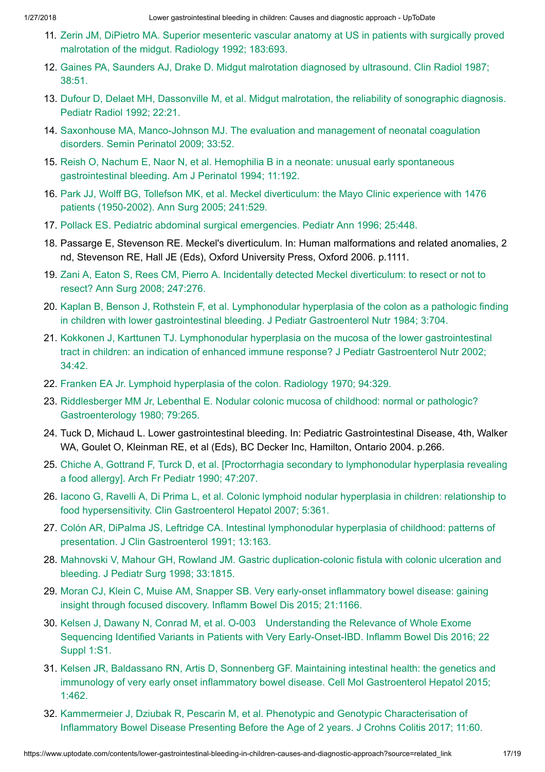- 11. Zerin JM, DiPietro MA. Superior mesenteric vascular anatomy at US in patients with surgically proved [malrotation](https://www.uptodate.com/contents/lower-gastrointestinal-bleeding-in-children-causes-and-diagnostic-approach/abstract/11) of the midgut. Radiology 1992; 183:693.
- 12. Gaines PA, Saunders AJ, Drake D. Midgut malrotation diagnosed by ultrasound. Clin [Radiol 1987;](https://www.uptodate.com/contents/lower-gastrointestinal-bleeding-in-children-causes-and-diagnostic-approach/abstract/12) 38:51.
- 13. Dufour D, Delaet MH, Dassonville M, et al. Midgut malrotation, the reliability of sonographic diagnosis. Pediatr [Radiol 1992;](https://www.uptodate.com/contents/lower-gastrointestinal-bleeding-in-children-causes-and-diagnostic-approach/abstract/13) 22:21.
- 14. Saxonhouse MA, Manco-Johnson MJ. The evaluation and management of [neonatal coagulation](https://www.uptodate.com/contents/lower-gastrointestinal-bleeding-in-children-causes-and-diagnostic-approach/abstract/14) disorders. Semin Perinatol 2009; 33:52.
- 15. Reish O, Nachum E, Naor N, et al. Hemophilia B in a neonate: unusual early spontaneous [gastrointestinal bleeding.](https://www.uptodate.com/contents/lower-gastrointestinal-bleeding-in-children-causes-and-diagnostic-approach/abstract/15) Am J Perinatol 1994; 11:192.
- 16. Park JJ, Wolff BG, Tollefson MK, et al. [Meckel diverticulum:](https://www.uptodate.com/contents/lower-gastrointestinal-bleeding-in-children-causes-and-diagnostic-approach/abstract/16) the Mayo Clinic experience with 1476 patients (1950-2002). Ann Surg 2005; 241:529.
- 17. Pollack ES. Pediatric [abdominal surgical](https://www.uptodate.com/contents/lower-gastrointestinal-bleeding-in-children-causes-and-diagnostic-approach/abstract/17) emergencies. Pediatr Ann 1996; 25:448.
- 18. Passarge E, Stevenson RE. Meckel's diverticulum. In: Human malformations and related anomalies, 2 nd, Stevenson RE, Hall JE (Eds), Oxford University Press, Oxford 2006. p.1111.
- 19. Zani A, Eaton S, Rees CM, Pierro A. Incidentally detected [Meckel diverticulum:](https://www.uptodate.com/contents/lower-gastrointestinal-bleeding-in-children-causes-and-diagnostic-approach/abstract/19) to resect or not to resect? Ann Surg 2008; 247:276.
- 20. Kaplan B, Benson J, Rothstein F, et al. Lymphonodular hyperplasia of the colon as a pathologic finding in children with lower [gastrointestinal bleeding.](https://www.uptodate.com/contents/lower-gastrointestinal-bleeding-in-children-causes-and-diagnostic-approach/abstract/20) J Pediatr Gastroenterol Nutr 1984; 3:704.
- 21. Kokkonen J, Karttunen TJ. Lymphonodular hyperplasia on the mucosa of the lower gastrointestinal tract in children: an indication of enhanced immune response? J Pediatr [Gastroenterol Nutr](https://www.uptodate.com/contents/lower-gastrointestinal-bleeding-in-children-causes-and-diagnostic-approach/abstract/21) 2002; 34:42.
- 22. Franken EA Jr. Lymphoid [hyperplasia](https://www.uptodate.com/contents/lower-gastrointestinal-bleeding-in-children-causes-and-diagnostic-approach/abstract/22) of the colon. Radiology 1970; 94:329.
- 23. Riddlesberger MM Jr, Lebenthal E. Nodular colonic mucosa of childhood: normal or pathologic? [Gastroenterology](https://www.uptodate.com/contents/lower-gastrointestinal-bleeding-in-children-causes-and-diagnostic-approach/abstract/23) 1980; 79:265.
- 24. Tuck D, Michaud L. Lower gastrointestinal bleeding. In: Pediatric Gastrointestinal Disease, 4th, Walker WA, Goulet O, Kleinman RE, et al (Eds), BC Decker Inc, Hamilton, Ontario 2004. p.266.
- 25. Chiche A, Gottrand F, Turck D, et al. [Proctorrhagia secondary to [lymphonodular](https://www.uptodate.com/contents/lower-gastrointestinal-bleeding-in-children-causes-and-diagnostic-approach/abstract/25) hyperplasia revealing a food allergy]. Arch Fr Pediatr 1990; 47:207.
- 26. Iacono G, Ravelli A, Di Prima L, et al. Colonic lymphoid nodular hyperplasia in children: relationship to food hypersensitivity. Clin [Gastroenterol Hepatol 2007;](https://www.uptodate.com/contents/lower-gastrointestinal-bleeding-in-children-causes-and-diagnostic-approach/abstract/26) 5:361.
- 27. Colón AR, DiPalma JS, Leftridge CA. [Intestinal lymphonodular](https://www.uptodate.com/contents/lower-gastrointestinal-bleeding-in-children-causes-and-diagnostic-approach/abstract/27) hyperplasia of childhood: patterns of presentation. J Clin Gastroenterol 1991; 13:163.
- 28. Mahnovski V, Mahour GH, Rowland JM. Gastric [duplication-colonic](https://www.uptodate.com/contents/lower-gastrointestinal-bleeding-in-children-causes-and-diagnostic-approach/abstract/28) fistula with colonic ulceration and bleeding. J Pediatr Surg 1998; 33:1815.
- 29. Moran CJ, Klein C, Muise AM, Snapper SB. Very early-onset inflammatory [bowel disease:](https://www.uptodate.com/contents/lower-gastrointestinal-bleeding-in-children-causes-and-diagnostic-approach/abstract/29) gaining insight through focused discovery. Inflamm Bowel Dis 2015; 21:1166.
- 30. Kelsen J, Dawany N, Conrad M, et al. O-003 Understanding the Relevance of Whole Exome Sequencing Identified Variants in Patients with Very [Early-Onset-IBD.](https://www.uptodate.com/contents/lower-gastrointestinal-bleeding-in-children-causes-and-diagnostic-approach/abstract/30) Inflamm Bowel Dis 2016; 22 Suppl 1:S1.
- 31. Kelsen JR, Baldassano RN, Artis D, Sonnenberg GF. Maintaining intestinal health: the genetics and immunology of very early onset inflammatory bowel disease. [Cell Mol Gastroenterol Hepatol 2015;](https://www.uptodate.com/contents/lower-gastrointestinal-bleeding-in-children-causes-and-diagnostic-approach/abstract/31) 1:462.
- 32. Kammermeier J, Dziubak R, Pescarin M, et al. Phenotypic and Genotypic [Characterisation](https://www.uptodate.com/contents/lower-gastrointestinal-bleeding-in-children-causes-and-diagnostic-approach/abstract/32) of Inflammatory Bowel Disease Presenting Before the Age of 2 years. J Crohns Colitis 2017; 11:60.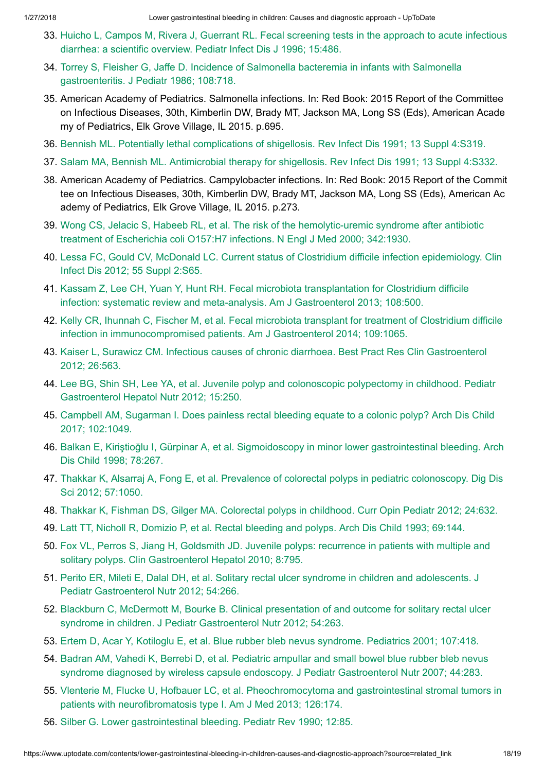- 33. Huicho L, Campos M, Rivera J, Guerrant RL. [Fecal screening](https://www.uptodate.com/contents/lower-gastrointestinal-bleeding-in-children-causes-and-diagnostic-approach/abstract/33) tests in the approach to acute infectious diarrhea: a scientific overview. Pediatr Infect Dis J 1996; 15:486.
- 34. Torrey S, Fleisher G, Jaffe D. Incidence of Salmonella bacteremia in infants with Salmonella [gastroenteritis.](https://www.uptodate.com/contents/lower-gastrointestinal-bleeding-in-children-causes-and-diagnostic-approach/abstract/34) J Pediatr 1986; 108:718.
- 35. American Academy of Pediatrics. Salmonella infections. In: Red Book: 2015 Report of the Committee on Infectious Diseases, 30th, Kimberlin DW, Brady MT, Jackson MA, Long SS (Eds), American Acade my of Pediatrics, Elk Grove Village, IL 2015. p.695.
- 36. Bennish ML. Potentially [lethal complications](https://www.uptodate.com/contents/lower-gastrointestinal-bleeding-in-children-causes-and-diagnostic-approach/abstract/36) of shigellosis. Rev Infect Dis 1991; 13 Suppl 4:S319.
- 37. Salam MA, Bennish ML. [Antimicrobial therapy](https://www.uptodate.com/contents/lower-gastrointestinal-bleeding-in-children-causes-and-diagnostic-approach/abstract/37) for shigellosis. Rev Infect Dis 1991; 13 Suppl 4:S332.
- 38. American Academy of Pediatrics. Campylobacter infections. In: Red Book: 2015 Report of the Commit tee on Infectious Diseases, 30th, Kimberlin DW, Brady MT, Jackson MA, Long SS (Eds), American Ac ademy of Pediatrics, Elk Grove Village, IL 2015. p.273.
- 39. Wong CS, Jelacic S, Habeeb RL, et al. The risk of the [hemolytic-uremic](https://www.uptodate.com/contents/lower-gastrointestinal-bleeding-in-children-causes-and-diagnostic-approach/abstract/39) syndrome after antibiotic treatment of Escherichia coli O157:H7 infections. N Engl J Med 2000; 342:1930.
- 40. Lessa FC, Gould CV, McDonald LC. Current status of Clostridium difficile infection [epidemiology.](https://www.uptodate.com/contents/lower-gastrointestinal-bleeding-in-children-causes-and-diagnostic-approach/abstract/40) Clin Infect Dis 2012; 55 Suppl 2:S65.
- 41. Kassam Z, Lee CH, Yuan Y, Hunt RH. Fecal microbiota transplantation for Clostridium difficile infection: systematic review and meta-analysis. Am J [Gastroenterol 2013;](https://www.uptodate.com/contents/lower-gastrointestinal-bleeding-in-children-causes-and-diagnostic-approach/abstract/41) 108:500.
- 42. Kelly CR, Ihunnah C, Fischer M, et al. Fecal microbiota transplant for treatment of Clostridium difficile infection in [immunocompromised](https://www.uptodate.com/contents/lower-gastrointestinal-bleeding-in-children-causes-and-diagnostic-approach/abstract/42) patients. Am J Gastroenterol 2014; 109:1065.
- 43. Kaiser L, Surawicz CM. Infectious causes of chronic diarrhoea. Best Pract Res Clin [Gastroenterol](https://www.uptodate.com/contents/lower-gastrointestinal-bleeding-in-children-causes-and-diagnostic-approach/abstract/43) 2012; 26:563.
- 44. Lee BG, Shin SH, Lee YA, et al. Juvenile polyp and colonoscopic polypectomy in childhood. Pediatr [Gastroenterol Hepatol Nutr](https://www.uptodate.com/contents/lower-gastrointestinal-bleeding-in-children-causes-and-diagnostic-approach/abstract/44) 2012; 15:250.
- 45. Campbell AM, Sugarman I. Does painless [rectal bleeding](https://www.uptodate.com/contents/lower-gastrointestinal-bleeding-in-children-causes-and-diagnostic-approach/abstract/45) equate to a colonic polyp? Arch Dis Child 2017; 102:1049.
- 46. Balkan E, Kiriştioğlu I, Gürpinar A, et al. Sigmoidoscopy in minor lower [gastrointestinal bleeding.](https://www.uptodate.com/contents/lower-gastrointestinal-bleeding-in-children-causes-and-diagnostic-approach/abstract/46) Arch Dis Child 1998; 78:267.
- 47. Thakkar K, Alsarraj A, Fong E, et al. Prevalence of [colorectal polyps](https://www.uptodate.com/contents/lower-gastrointestinal-bleeding-in-children-causes-and-diagnostic-approach/abstract/47) in pediatric colonoscopy. Dig Dis Sci 2012; 57:1050.
- 48. Thakkar K, Fishman DS, Gilger MA. [Colorectal polyps](https://www.uptodate.com/contents/lower-gastrointestinal-bleeding-in-children-causes-and-diagnostic-approach/abstract/48) in childhood. Curr Opin Pediatr 2012; 24:632.
- 49. Latt TT, Nicholl R, Domizio P, et al. [Rectal bleeding](https://www.uptodate.com/contents/lower-gastrointestinal-bleeding-in-children-causes-and-diagnostic-approach/abstract/49) and polyps. Arch Dis Child 1993; 69:144.
- 50. Fox VL, Perros S, Jiang H, Goldsmith JD. Juvenile polyps: recurrence in patients with multiple and solitary polyps. Clin [Gastroenterol Hepatol 2010;](https://www.uptodate.com/contents/lower-gastrointestinal-bleeding-in-children-causes-and-diagnostic-approach/abstract/50) 8:795.
- 51. Perito ER, Mileti E, Dalal DH, et al. Solitary rectal ulcer syndrome in children and adolescents. J Pediatr [Gastroenterol Nutr](https://www.uptodate.com/contents/lower-gastrointestinal-bleeding-in-children-causes-and-diagnostic-approach/abstract/51) 2012; 54:266.
- 52. Blackburn C, McDermott M, Bourke B. [Clinical presentation](https://www.uptodate.com/contents/lower-gastrointestinal-bleeding-in-children-causes-and-diagnostic-approach/abstract/52) of and outcome for solitary rectal ulcer syndrome in children. J Pediatr Gastroenterol Nutr 2012; 54:263.
- 53. Ertem D, Acar Y, Kotiloglu E, et al. Blue rubber bleb nevus [syndrome.](https://www.uptodate.com/contents/lower-gastrointestinal-bleeding-in-children-causes-and-diagnostic-approach/abstract/53) Pediatrics 2001; 107:418.
- 54. Badran AM, Vahedi K, Berrebi D, et al. Pediatric ampullar and small bowel blue rubber bleb nevus syndrome diagnosed by wireless capsule endoscopy. J Pediatr [Gastroenterol Nutr](https://www.uptodate.com/contents/lower-gastrointestinal-bleeding-in-children-causes-and-diagnostic-approach/abstract/54) 2007; 44:283.
- 55. Vlenterie M, Flucke U, Hofbauer LC, et al. Pheochromocytoma and [gastrointestinal stromal tumors](https://www.uptodate.com/contents/lower-gastrointestinal-bleeding-in-children-causes-and-diagnostic-approach/abstract/55) in patients with neurofibromatosis type I. Am J Med 2013; 126:174.
- 56. Silber G. Lower [gastrointestinal bleeding.](https://www.uptodate.com/contents/lower-gastrointestinal-bleeding-in-children-causes-and-diagnostic-approach/abstract/56) Pediatr Rev 1990; 12:85.